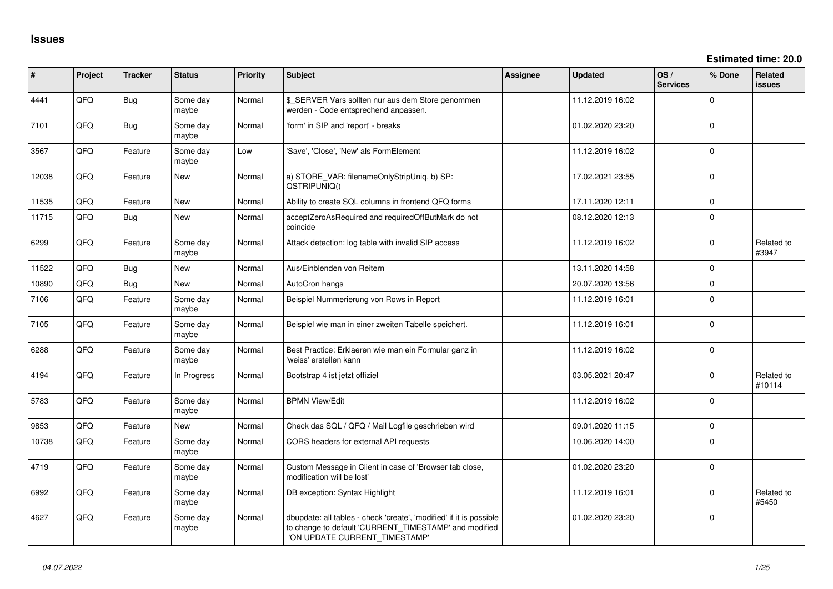**Estimated time: 20.0**

| #     | Project | <b>Tracker</b> | <b>Status</b>     | <b>Priority</b> | Subject                                                                                                                                                       | Assignee | <b>Updated</b>   | OS/<br><b>Services</b> | % Done   | Related<br><b>issues</b> |
|-------|---------|----------------|-------------------|-----------------|---------------------------------------------------------------------------------------------------------------------------------------------------------------|----------|------------------|------------------------|----------|--------------------------|
| 4441  | QFQ     | <b>Bug</b>     | Some day<br>maybe | Normal          | \$ SERVER Vars sollten nur aus dem Store genommen<br>werden - Code entsprechend anpassen.                                                                     |          | 11.12.2019 16:02 |                        | $\Omega$ |                          |
| 7101  | QFQ     | <b>Bug</b>     | Some day<br>maybe | Normal          | 'form' in SIP and 'report' - breaks                                                                                                                           |          | 01.02.2020 23:20 |                        | $\Omega$ |                          |
| 3567  | QFQ     | Feature        | Some day<br>maybe | Low             | 'Save', 'Close', 'New' als FormElement                                                                                                                        |          | 11.12.2019 16:02 |                        | $\Omega$ |                          |
| 12038 | QFQ     | Feature        | <b>New</b>        | Normal          | a) STORE_VAR: filenameOnlyStripUniq, b) SP:<br>QSTRIPUNIQ()                                                                                                   |          | 17.02.2021 23:55 |                        | $\Omega$ |                          |
| 11535 | QFQ     | Feature        | <b>New</b>        | Normal          | Ability to create SQL columns in frontend QFQ forms                                                                                                           |          | 17.11.2020 12:11 |                        | $\Omega$ |                          |
| 11715 | QFQ     | Bug            | New               | Normal          | acceptZeroAsRequired and requiredOffButMark do not<br>coincide                                                                                                |          | 08.12.2020 12:13 |                        | $\Omega$ |                          |
| 6299  | QFQ     | Feature        | Some day<br>maybe | Normal          | Attack detection: log table with invalid SIP access                                                                                                           |          | 11.12.2019 16:02 |                        | $\Omega$ | Related to<br>#3947      |
| 11522 | QFQ     | Bug            | <b>New</b>        | Normal          | Aus/Einblenden von Reitern                                                                                                                                    |          | 13.11.2020 14:58 |                        | $\Omega$ |                          |
| 10890 | QFQ     | <b>Bug</b>     | <b>New</b>        | Normal          | AutoCron hangs                                                                                                                                                |          | 20.07.2020 13:56 |                        | $\Omega$ |                          |
| 7106  | QFQ     | Feature        | Some day<br>maybe | Normal          | Beispiel Nummerierung von Rows in Report                                                                                                                      |          | 11.12.2019 16:01 |                        | $\Omega$ |                          |
| 7105  | QFQ     | Feature        | Some day<br>maybe | Normal          | Beispiel wie man in einer zweiten Tabelle speichert.                                                                                                          |          | 11.12.2019 16:01 |                        | $\Omega$ |                          |
| 6288  | QFQ     | Feature        | Some day<br>maybe | Normal          | Best Practice: Erklaeren wie man ein Formular ganz in<br>'weiss' erstellen kann                                                                               |          | 11.12.2019 16:02 |                        | $\Omega$ |                          |
| 4194  | QFQ     | Feature        | In Progress       | Normal          | Bootstrap 4 ist jetzt offiziel                                                                                                                                |          | 03.05.2021 20:47 |                        | $\Omega$ | Related to<br>#10114     |
| 5783  | QFQ     | Feature        | Some day<br>maybe | Normal          | <b>BPMN View/Edit</b>                                                                                                                                         |          | 11.12.2019 16:02 |                        | $\Omega$ |                          |
| 9853  | QFQ     | Feature        | <b>New</b>        | Normal          | Check das SQL / QFQ / Mail Logfile geschrieben wird                                                                                                           |          | 09.01.2020 11:15 |                        | $\Omega$ |                          |
| 10738 | QFQ     | Feature        | Some day<br>maybe | Normal          | CORS headers for external API requests                                                                                                                        |          | 10.06.2020 14:00 |                        | $\Omega$ |                          |
| 4719  | QFQ     | Feature        | Some day<br>maybe | Normal          | Custom Message in Client in case of 'Browser tab close,<br>modification will be lost'                                                                         |          | 01.02.2020 23:20 |                        | $\Omega$ |                          |
| 6992  | QFQ     | Feature        | Some day<br>maybe | Normal          | DB exception: Syntax Highlight                                                                                                                                |          | 11.12.2019 16:01 |                        | $\Omega$ | Related to<br>#5450      |
| 4627  | QFQ     | Feature        | Some day<br>maybe | Normal          | dbupdate: all tables - check 'create', 'modified' if it is possible<br>to change to default 'CURRENT_TIMESTAMP' and modified<br>'ON UPDATE CURRENT_TIMESTAMP' |          | 01.02.2020 23:20 |                        | $\Omega$ |                          |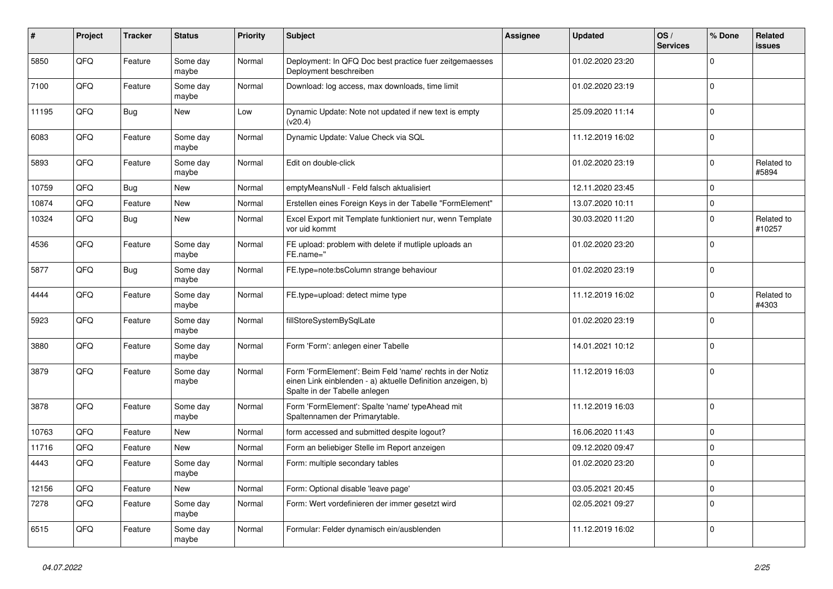| #     | Project | <b>Tracker</b> | <b>Status</b>     | <b>Priority</b> | Subject                                                                                                                                                  | Assignee | <b>Updated</b>   | OS/<br><b>Services</b> | % Done      | Related<br>issues    |
|-------|---------|----------------|-------------------|-----------------|----------------------------------------------------------------------------------------------------------------------------------------------------------|----------|------------------|------------------------|-------------|----------------------|
| 5850  | QFQ     | Feature        | Some day<br>maybe | Normal          | Deployment: In QFQ Doc best practice fuer zeitgemaesses<br>Deployment beschreiben                                                                        |          | 01.02.2020 23:20 |                        | $\Omega$    |                      |
| 7100  | QFQ     | Feature        | Some day<br>maybe | Normal          | Download: log access, max downloads, time limit                                                                                                          |          | 01.02.2020 23:19 |                        | 0           |                      |
| 11195 | QFQ     | Bug            | New               | Low             | Dynamic Update: Note not updated if new text is empty<br>(v20.4)                                                                                         |          | 25.09.2020 11:14 |                        | 0           |                      |
| 6083  | QFQ     | Feature        | Some day<br>maybe | Normal          | Dynamic Update: Value Check via SQL                                                                                                                      |          | 11.12.2019 16:02 |                        | $\mathbf 0$ |                      |
| 5893  | QFQ     | Feature        | Some day<br>maybe | Normal          | Edit on double-click                                                                                                                                     |          | 01.02.2020 23:19 |                        | $\mathbf 0$ | Related to<br>#5894  |
| 10759 | QFQ     | Bug            | New               | Normal          | emptyMeansNull - Feld falsch aktualisiert                                                                                                                |          | 12.11.2020 23:45 |                        | $\mathbf 0$ |                      |
| 10874 | QFQ     | Feature        | New               | Normal          | Erstellen eines Foreign Keys in der Tabelle "FormElement"                                                                                                |          | 13.07.2020 10:11 |                        | 0           |                      |
| 10324 | QFQ     | Bug            | New               | Normal          | Excel Export mit Template funktioniert nur, wenn Template<br>vor uid kommt                                                                               |          | 30.03.2020 11:20 |                        | $\Omega$    | Related to<br>#10257 |
| 4536  | QFQ     | Feature        | Some day<br>maybe | Normal          | FE upload: problem with delete if mutliple uploads an<br>FE.name="                                                                                       |          | 01.02.2020 23:20 |                        | $\mathbf 0$ |                      |
| 5877  | QFQ     | Bug            | Some day<br>maybe | Normal          | FE.type=note:bsColumn strange behaviour                                                                                                                  |          | 01.02.2020 23:19 |                        | $\Omega$    |                      |
| 4444  | QFQ     | Feature        | Some day<br>maybe | Normal          | FE.type=upload: detect mime type                                                                                                                         |          | 11.12.2019 16:02 |                        | $\Omega$    | Related to<br>#4303  |
| 5923  | QFQ     | Feature        | Some day<br>maybe | Normal          | fillStoreSystemBySqlLate                                                                                                                                 |          | 01.02.2020 23:19 |                        | $\Omega$    |                      |
| 3880  | QFQ     | Feature        | Some day<br>maybe | Normal          | Form 'Form': anlegen einer Tabelle                                                                                                                       |          | 14.01.2021 10:12 |                        | $\mathbf 0$ |                      |
| 3879  | QFQ     | Feature        | Some day<br>maybe | Normal          | Form 'FormElement': Beim Feld 'name' rechts in der Notiz<br>einen Link einblenden - a) aktuelle Definition anzeigen, b)<br>Spalte in der Tabelle anlegen |          | 11.12.2019 16:03 |                        | 0           |                      |
| 3878  | QFQ     | Feature        | Some day<br>maybe | Normal          | Form 'FormElement': Spalte 'name' typeAhead mit<br>Spaltennamen der Primarytable.                                                                        |          | 11.12.2019 16:03 |                        | 0           |                      |
| 10763 | QFQ     | Feature        | New               | Normal          | form accessed and submitted despite logout?                                                                                                              |          | 16.06.2020 11:43 |                        | 0           |                      |
| 11716 | QFQ     | Feature        | <b>New</b>        | Normal          | Form an beliebiger Stelle im Report anzeigen                                                                                                             |          | 09.12.2020 09:47 |                        | $\mathbf 0$ |                      |
| 4443  | QFQ     | Feature        | Some day<br>maybe | Normal          | Form: multiple secondary tables                                                                                                                          |          | 01.02.2020 23:20 |                        | $\mathbf 0$ |                      |
| 12156 | QFQ     | Feature        | New               | Normal          | Form: Optional disable 'leave page'                                                                                                                      |          | 03.05.2021 20:45 |                        | 0           |                      |
| 7278  | QFQ     | Feature        | Some day<br>maybe | Normal          | Form: Wert vordefinieren der immer gesetzt wird                                                                                                          |          | 02.05.2021 09:27 |                        | 0           |                      |
| 6515  | QFQ     | Feature        | Some day<br>maybe | Normal          | Formular: Felder dynamisch ein/ausblenden                                                                                                                |          | 11.12.2019 16:02 |                        | 0           |                      |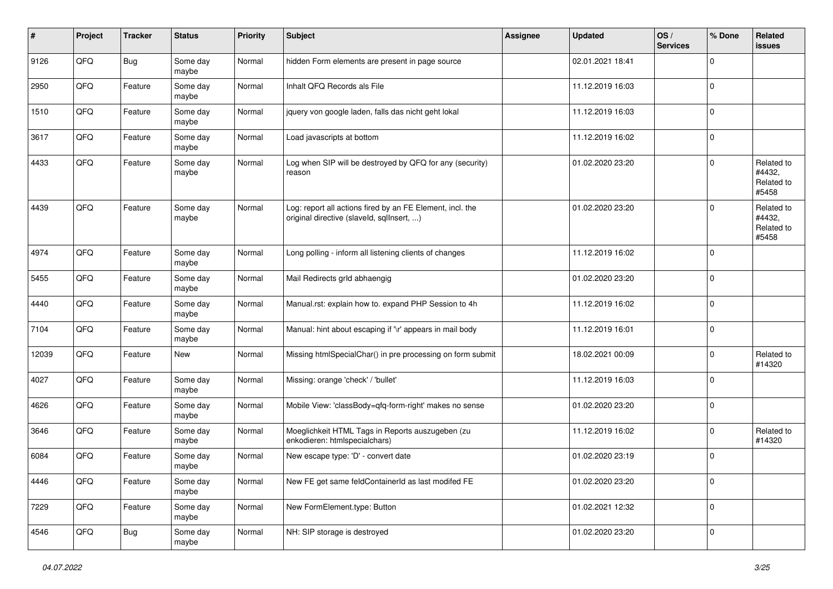| ∦     | Project | <b>Tracker</b> | <b>Status</b>     | <b>Priority</b> | Subject                                                                                                | Assignee | <b>Updated</b>   | OS/<br><b>Services</b> | % Done      | Related<br><b>issues</b>                    |
|-------|---------|----------------|-------------------|-----------------|--------------------------------------------------------------------------------------------------------|----------|------------------|------------------------|-------------|---------------------------------------------|
| 9126  | QFQ     | Bug            | Some day<br>maybe | Normal          | hidden Form elements are present in page source                                                        |          | 02.01.2021 18:41 |                        | $\Omega$    |                                             |
| 2950  | QFQ     | Feature        | Some day<br>maybe | Normal          | Inhalt QFQ Records als File                                                                            |          | 11.12.2019 16:03 |                        | 0           |                                             |
| 1510  | QFQ     | Feature        | Some day<br>maybe | Normal          | jquery von google laden, falls das nicht geht lokal                                                    |          | 11.12.2019 16:03 |                        | $\mathbf 0$ |                                             |
| 3617  | QFQ     | Feature        | Some day<br>maybe | Normal          | Load javascripts at bottom                                                                             |          | 11.12.2019 16:02 |                        | $\mathbf 0$ |                                             |
| 4433  | QFQ     | Feature        | Some day<br>maybe | Normal          | Log when SIP will be destroyed by QFQ for any (security)<br>reason                                     |          | 01.02.2020 23:20 |                        | $\mathbf 0$ | Related to<br>#4432,<br>Related to<br>#5458 |
| 4439  | QFQ     | Feature        | Some day<br>maybe | Normal          | Log: report all actions fired by an FE Element, incl. the<br>original directive (slaveld, sqllnsert, ) |          | 01.02.2020 23:20 |                        | $\Omega$    | Related to<br>#4432,<br>Related to<br>#5458 |
| 4974  | QFQ     | Feature        | Some day<br>maybe | Normal          | Long polling - inform all listening clients of changes                                                 |          | 11.12.2019 16:02 |                        | 0           |                                             |
| 5455  | QFQ     | Feature        | Some day<br>maybe | Normal          | Mail Redirects grld abhaengig                                                                          |          | 01.02.2020 23:20 |                        | $\mathbf 0$ |                                             |
| 4440  | QFQ     | Feature        | Some day<br>maybe | Normal          | Manual.rst: explain how to. expand PHP Session to 4h                                                   |          | 11.12.2019 16:02 |                        | $\mathbf 0$ |                                             |
| 7104  | QFQ     | Feature        | Some day<br>maybe | Normal          | Manual: hint about escaping if '\r' appears in mail body                                               |          | 11.12.2019 16:01 |                        | $\mathbf 0$ |                                             |
| 12039 | QFQ     | Feature        | New               | Normal          | Missing htmlSpecialChar() in pre processing on form submit                                             |          | 18.02.2021 00:09 |                        | $\Omega$    | Related to<br>#14320                        |
| 4027  | QFQ     | Feature        | Some day<br>maybe | Normal          | Missing: orange 'check' / 'bullet'                                                                     |          | 11.12.2019 16:03 |                        | $\Omega$    |                                             |
| 4626  | QFQ     | Feature        | Some day<br>maybe | Normal          | Mobile View: 'classBody=qfq-form-right' makes no sense                                                 |          | 01.02.2020 23:20 |                        | 0           |                                             |
| 3646  | QFQ     | Feature        | Some day<br>maybe | Normal          | Moeglichkeit HTML Tags in Reports auszugeben (zu<br>enkodieren: htmlspecialchars)                      |          | 11.12.2019 16:02 |                        | $\Omega$    | Related to<br>#14320                        |
| 6084  | QFQ     | Feature        | Some day<br>maybe | Normal          | New escape type: 'D' - convert date                                                                    |          | 01.02.2020 23:19 |                        | $\mathbf 0$ |                                             |
| 4446  | QFQ     | Feature        | Some day<br>maybe | Normal          | New FE get same feldContainerId as last modifed FE                                                     |          | 01.02.2020 23:20 |                        | 0           |                                             |
| 7229  | QFG     | Feature        | Some day<br>maybe | Normal          | New FormElement.type: Button                                                                           |          | 01.02.2021 12:32 |                        | 0           |                                             |
| 4546  | QFQ     | <b>Bug</b>     | Some day<br>maybe | Normal          | NH: SIP storage is destroyed                                                                           |          | 01.02.2020 23:20 |                        | 0           |                                             |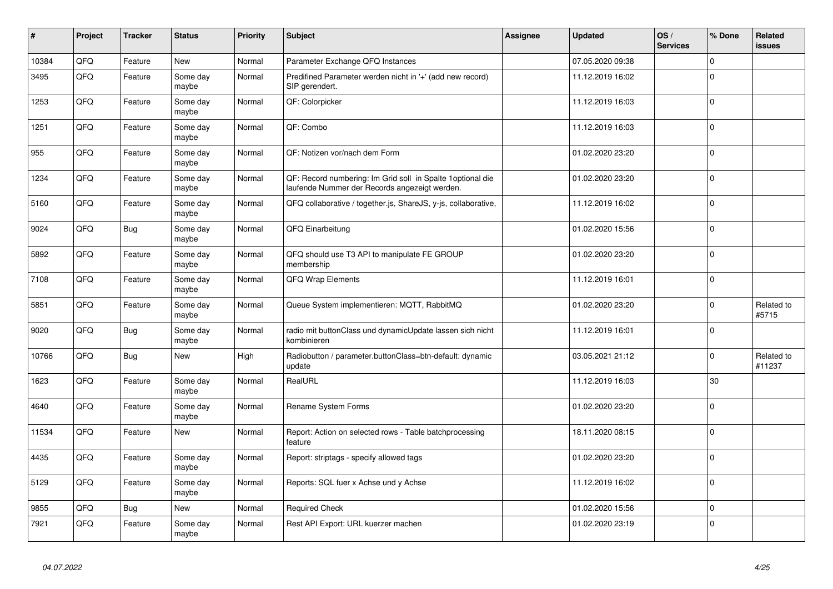| #     | Project | <b>Tracker</b> | <b>Status</b>     | Priority | Subject                                                                                                      | Assignee | <b>Updated</b>   | OS/<br><b>Services</b> | % Done   | Related<br><b>issues</b> |
|-------|---------|----------------|-------------------|----------|--------------------------------------------------------------------------------------------------------------|----------|------------------|------------------------|----------|--------------------------|
| 10384 | QFQ     | Feature        | New               | Normal   | Parameter Exchange QFQ Instances                                                                             |          | 07.05.2020 09:38 |                        | $\Omega$ |                          |
| 3495  | QFQ     | Feature        | Some day<br>maybe | Normal   | Predifined Parameter werden nicht in '+' (add new record)<br>SIP gerendert.                                  |          | 11.12.2019 16:02 |                        | 0        |                          |
| 1253  | QFQ     | Feature        | Some day<br>maybe | Normal   | QF: Colorpicker                                                                                              |          | 11.12.2019 16:03 |                        | $\Omega$ |                          |
| 1251  | QFQ     | Feature        | Some day<br>maybe | Normal   | QF: Combo                                                                                                    |          | 11.12.2019 16:03 |                        | $\Omega$ |                          |
| 955   | QFQ     | Feature        | Some day<br>maybe | Normal   | QF: Notizen vor/nach dem Form                                                                                |          | 01.02.2020 23:20 |                        | $\Omega$ |                          |
| 1234  | QFQ     | Feature        | Some day<br>maybe | Normal   | QF: Record numbering: Im Grid soll in Spalte 1 optional die<br>laufende Nummer der Records angezeigt werden. |          | 01.02.2020 23:20 |                        | $\Omega$ |                          |
| 5160  | QFQ     | Feature        | Some day<br>maybe | Normal   | QFQ collaborative / together.js, ShareJS, y-js, collaborative,                                               |          | 11.12.2019 16:02 |                        | 0        |                          |
| 9024  | QFQ     | <b>Bug</b>     | Some day<br>maybe | Normal   | QFQ Einarbeitung                                                                                             |          | 01.02.2020 15:56 |                        | $\Omega$ |                          |
| 5892  | QFQ     | Feature        | Some day<br>maybe | Normal   | QFQ should use T3 API to manipulate FE GROUP<br>membership                                                   |          | 01.02.2020 23:20 |                        | $\Omega$ |                          |
| 7108  | QFQ     | Feature        | Some day<br>maybe | Normal   | QFQ Wrap Elements                                                                                            |          | 11.12.2019 16:01 |                        | $\Omega$ |                          |
| 5851  | QFQ     | Feature        | Some day<br>maybe | Normal   | Queue System implementieren: MQTT, RabbitMQ                                                                  |          | 01.02.2020 23:20 |                        | $\Omega$ | Related to<br>#5715      |
| 9020  | QFQ     | Bug            | Some day<br>maybe | Normal   | radio mit buttonClass und dynamicUpdate lassen sich nicht<br>kombinieren                                     |          | 11.12.2019 16:01 |                        | $\Omega$ |                          |
| 10766 | QFQ     | Bug            | New               | High     | Radiobutton / parameter.buttonClass=btn-default: dynamic<br>update                                           |          | 03.05.2021 21:12 |                        | $\Omega$ | Related to<br>#11237     |
| 1623  | QFQ     | Feature        | Some day<br>maybe | Normal   | RealURL                                                                                                      |          | 11.12.2019 16:03 |                        | 30       |                          |
| 4640  | QFQ     | Feature        | Some day<br>maybe | Normal   | Rename System Forms                                                                                          |          | 01.02.2020 23:20 |                        | $\Omega$ |                          |
| 11534 | QFQ     | Feature        | New               | Normal   | Report: Action on selected rows - Table batchprocessing<br>feature                                           |          | 18.11.2020 08:15 |                        | $\Omega$ |                          |
| 4435  | QFQ     | Feature        | Some day<br>maybe | Normal   | Report: striptags - specify allowed tags                                                                     |          | 01.02.2020 23:20 |                        | $\Omega$ |                          |
| 5129  | QFQ     | Feature        | Some day<br>maybe | Normal   | Reports: SQL fuer x Achse und y Achse                                                                        |          | 11.12.2019 16:02 |                        | $\Omega$ |                          |
| 9855  | QFQ     | <b>Bug</b>     | <b>New</b>        | Normal   | <b>Required Check</b>                                                                                        |          | 01.02.2020 15:56 |                        | 0        |                          |
| 7921  | QFQ     | Feature        | Some day<br>maybe | Normal   | Rest API Export: URL kuerzer machen                                                                          |          | 01.02.2020 23:19 |                        | $\Omega$ |                          |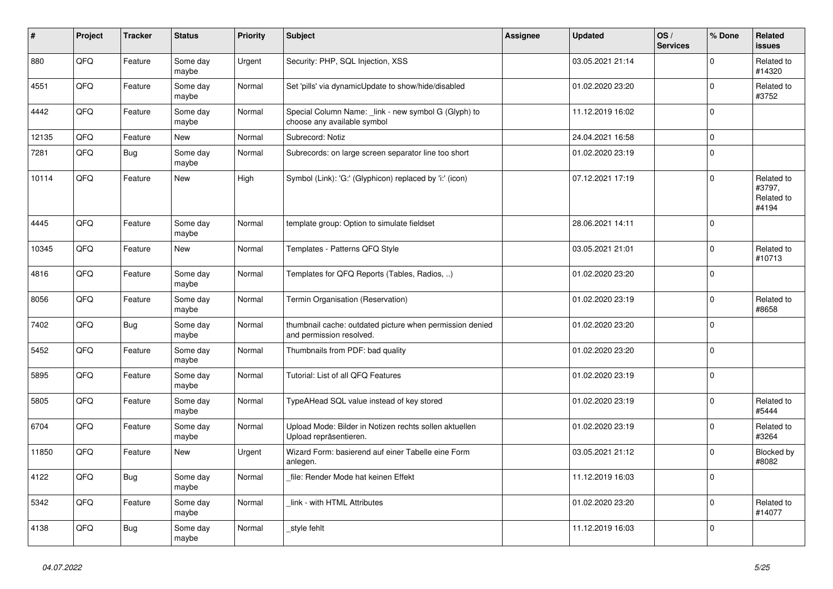| #     | Project    | <b>Tracker</b> | <b>Status</b>     | <b>Priority</b> | <b>Subject</b>                                                                       | Assignee | <b>Updated</b>   | OS/<br><b>Services</b> | % Done      | <b>Related</b><br><b>issues</b>             |
|-------|------------|----------------|-------------------|-----------------|--------------------------------------------------------------------------------------|----------|------------------|------------------------|-------------|---------------------------------------------|
| 880   | QFQ        | Feature        | Some day<br>maybe | Urgent          | Security: PHP, SQL Injection, XSS                                                    |          | 03.05.2021 21:14 |                        | $\Omega$    | Related to<br>#14320                        |
| 4551  | QFQ        | Feature        | Some day<br>maybe | Normal          | Set 'pills' via dynamicUpdate to show/hide/disabled                                  |          | 01.02.2020 23:20 |                        | $\mathbf 0$ | Related to<br>#3752                         |
| 4442  | <b>OFO</b> | Feature        | Some day<br>maybe | Normal          | Special Column Name: link - new symbol G (Glyph) to<br>choose any available symbol   |          | 11.12.2019 16:02 |                        | $\Omega$    |                                             |
| 12135 | QFQ        | Feature        | <b>New</b>        | Normal          | Subrecord: Notiz                                                                     |          | 24.04.2021 16:58 |                        | $\mathbf 0$ |                                             |
| 7281  | QFQ        | Bug            | Some day<br>maybe | Normal          | Subrecords: on large screen separator line too short                                 |          | 01.02.2020 23:19 |                        | $\mathsf 0$ |                                             |
| 10114 | QFQ        | Feature        | <b>New</b>        | High            | Symbol (Link): 'G:' (Glyphicon) replaced by 'i:' (icon)                              |          | 07.12.2021 17:19 |                        | $\mathbf 0$ | Related to<br>#3797,<br>Related to<br>#4194 |
| 4445  | QFQ        | Feature        | Some day<br>maybe | Normal          | template group: Option to simulate fieldset                                          |          | 28.06.2021 14:11 |                        | $\mathbf 0$ |                                             |
| 10345 | QFQ        | Feature        | New               | Normal          | Templates - Patterns QFQ Style                                                       |          | 03.05.2021 21:01 |                        | $\mathsf 0$ | Related to<br>#10713                        |
| 4816  | QFQ        | Feature        | Some day<br>maybe | Normal          | Templates for QFQ Reports (Tables, Radios, )                                         |          | 01.02.2020 23:20 |                        | $\mathbf 0$ |                                             |
| 8056  | QFQ        | Feature        | Some day<br>maybe | Normal          | Termin Organisation (Reservation)                                                    |          | 01.02.2020 23:19 |                        | $\mathbf 0$ | Related to<br>#8658                         |
| 7402  | QFQ        | Bug            | Some day<br>maybe | Normal          | thumbnail cache: outdated picture when permission denied<br>and permission resolved. |          | 01.02.2020 23:20 |                        | $\Omega$    |                                             |
| 5452  | QFQ        | Feature        | Some day<br>maybe | Normal          | Thumbnails from PDF: bad quality                                                     |          | 01.02.2020 23:20 |                        | $\pmb{0}$   |                                             |
| 5895  | QFQ        | Feature        | Some day<br>maybe | Normal          | Tutorial: List of all QFQ Features                                                   |          | 01.02.2020 23:19 |                        | $\mathbf 0$ |                                             |
| 5805  | QFQ        | Feature        | Some day<br>maybe | Normal          | TypeAHead SQL value instead of key stored                                            |          | 01.02.2020 23:19 |                        | $\mathbf 0$ | Related to<br>#5444                         |
| 6704  | QFQ        | Feature        | Some day<br>maybe | Normal          | Upload Mode: Bilder in Notizen rechts sollen aktuellen<br>Upload repräsentieren.     |          | 01.02.2020 23:19 |                        | $\mathbf 0$ | Related to<br>#3264                         |
| 11850 | QFQ        | Feature        | <b>New</b>        | Urgent          | Wizard Form: basierend auf einer Tabelle eine Form<br>anlegen.                       |          | 03.05.2021 21:12 |                        | $\mathbf 0$ | Blocked by<br>#8082                         |
| 4122  | QFQ        | <b>Bug</b>     | Some day<br>maybe | Normal          | file: Render Mode hat keinen Effekt                                                  |          | 11.12.2019 16:03 |                        | $\Omega$    |                                             |
| 5342  | QFQ        | Feature        | Some day<br>maybe | Normal          | link - with HTML Attributes                                                          |          | 01.02.2020 23:20 |                        | $\mathbf 0$ | Related to<br>#14077                        |
| 4138  | QFQ        | Bug            | Some day<br>maybe | Normal          | style fehlt                                                                          |          | 11.12.2019 16:03 |                        | $\Omega$    |                                             |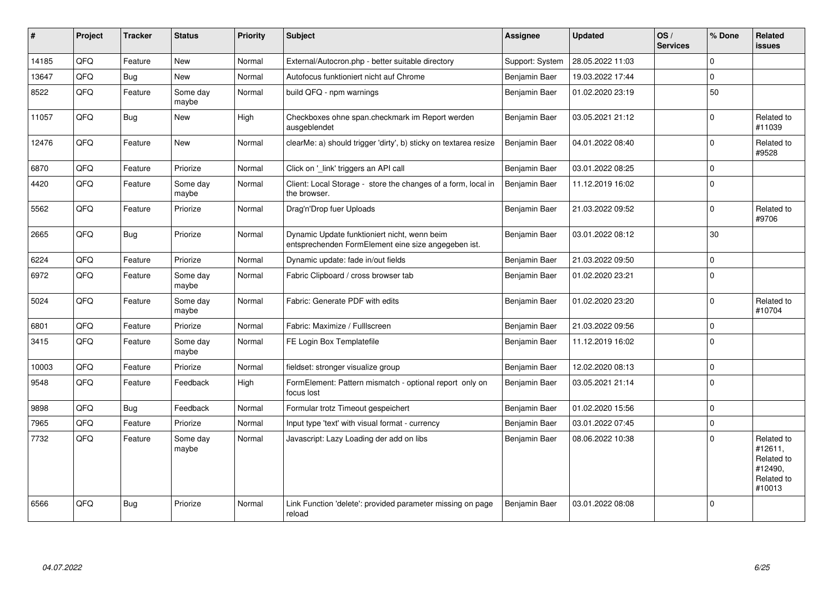| #     | Project | <b>Tracker</b> | <b>Status</b>     | <b>Priority</b> | <b>Subject</b>                                                                                      | Assignee        | <b>Updated</b>   | OS/<br><b>Services</b> | % Done         | Related<br><b>issues</b>                                               |
|-------|---------|----------------|-------------------|-----------------|-----------------------------------------------------------------------------------------------------|-----------------|------------------|------------------------|----------------|------------------------------------------------------------------------|
| 14185 | QFQ     | Feature        | <b>New</b>        | Normal          | External/Autocron.php - better suitable directory                                                   | Support: System | 28.05.2022 11:03 |                        | $\Omega$       |                                                                        |
| 13647 | QFQ     | Bug            | <b>New</b>        | Normal          | Autofocus funktioniert nicht auf Chrome                                                             | Benjamin Baer   | 19.03.2022 17:44 |                        | $\mathbf 0$    |                                                                        |
| 8522  | QFQ     | Feature        | Some day<br>maybe | Normal          | build QFQ - npm warnings                                                                            | Benjamin Baer   | 01.02.2020 23:19 |                        | 50             |                                                                        |
| 11057 | QFQ     | Bug            | New               | High            | Checkboxes ohne span.checkmark im Report werden<br>ausgeblendet                                     | Benjamin Baer   | 03.05.2021 21:12 |                        | $\Omega$       | Related to<br>#11039                                                   |
| 12476 | QFQ     | Feature        | New               | Normal          | clearMe: a) should trigger 'dirty', b) sticky on textarea resize                                    | Benjamin Baer   | 04.01.2022 08:40 |                        | $\Omega$       | Related to<br>#9528                                                    |
| 6870  | QFQ     | Feature        | Priorize          | Normal          | Click on '_link' triggers an API call                                                               | Benjamin Baer   | 03.01.2022 08:25 |                        | $\mathbf 0$    |                                                                        |
| 4420  | QFQ     | Feature        | Some day<br>maybe | Normal          | Client: Local Storage - store the changes of a form, local in<br>the browser.                       | Benjamin Baer   | 11.12.2019 16:02 |                        | $\Omega$       |                                                                        |
| 5562  | QFQ     | Feature        | Priorize          | Normal          | Drag'n'Drop fuer Uploads                                                                            | Benjamin Baer   | 21.03.2022 09:52 |                        | $\Omega$       | Related to<br>#9706                                                    |
| 2665  | QFQ     | Bug            | Priorize          | Normal          | Dynamic Update funktioniert nicht, wenn beim<br>entsprechenden FormElement eine size angegeben ist. | Benjamin Baer   | 03.01.2022 08:12 |                        | 30             |                                                                        |
| 6224  | QFQ     | Feature        | Priorize          | Normal          | Dynamic update: fade in/out fields                                                                  | Benjamin Baer   | 21.03.2022 09:50 |                        | $\Omega$       |                                                                        |
| 6972  | QFQ     | Feature        | Some day<br>maybe | Normal          | Fabric Clipboard / cross browser tab                                                                | Benjamin Baer   | 01.02.2020 23:21 |                        | $\mathbf 0$    |                                                                        |
| 5024  | QFQ     | Feature        | Some day<br>maybe | Normal          | Fabric: Generate PDF with edits                                                                     | Benjamin Baer   | 01.02.2020 23:20 |                        | $\mathbf 0$    | Related to<br>#10704                                                   |
| 6801  | QFQ     | Feature        | Priorize          | Normal          | Fabric: Maximize / FullIscreen                                                                      | Benjamin Baer   | 21.03.2022 09:56 |                        | $\mathbf 0$    |                                                                        |
| 3415  | QFQ     | Feature        | Some day<br>maybe | Normal          | FE Login Box Templatefile                                                                           | Benjamin Baer   | 11.12.2019 16:02 |                        | $\Omega$       |                                                                        |
| 10003 | QFQ     | Feature        | Priorize          | Normal          | fieldset: stronger visualize group                                                                  | Benjamin Baer   | 12.02.2020 08:13 |                        | $\mathbf 0$    |                                                                        |
| 9548  | QFQ     | Feature        | Feedback          | High            | FormElement: Pattern mismatch - optional report only on<br>focus lost                               | Benjamin Baer   | 03.05.2021 21:14 |                        | $\overline{0}$ |                                                                        |
| 9898  | QFQ     | <b>Bug</b>     | Feedback          | Normal          | Formular trotz Timeout gespeichert                                                                  | Benjamin Baer   | 01.02.2020 15:56 |                        | $\mathbf 0$    |                                                                        |
| 7965  | QFQ     | Feature        | Priorize          | Normal          | Input type 'text' with visual format - currency                                                     | Benjamin Baer   | 03.01.2022 07:45 |                        | $\Omega$       |                                                                        |
| 7732  | QFQ     | Feature        | Some day<br>maybe | Normal          | Javascript: Lazy Loading der add on libs                                                            | Benjamin Baer   | 08.06.2022 10:38 |                        | $\Omega$       | Related to<br>#12611,<br>Related to<br>#12490,<br>Related to<br>#10013 |
| 6566  | QFQ     | <b>Bug</b>     | Priorize          | Normal          | Link Function 'delete': provided parameter missing on page<br>reload                                | Benjamin Baer   | 03.01.2022 08:08 |                        | $\Omega$       |                                                                        |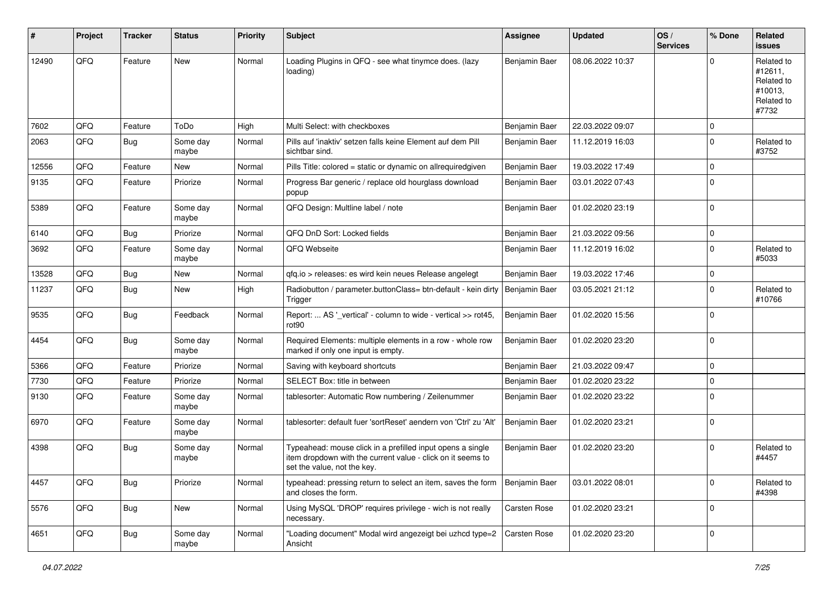| ∦     | Project | <b>Tracker</b> | <b>Status</b>     | <b>Priority</b> | Subject                                                                                                                                                  | <b>Assignee</b> | <b>Updated</b>   | OS/<br><b>Services</b> | % Done      | Related<br>issues                                                     |
|-------|---------|----------------|-------------------|-----------------|----------------------------------------------------------------------------------------------------------------------------------------------------------|-----------------|------------------|------------------------|-------------|-----------------------------------------------------------------------|
| 12490 | QFQ     | Feature        | New               | Normal          | Loading Plugins in QFQ - see what tinymce does. (lazy<br>loading)                                                                                        | Benjamin Baer   | 08.06.2022 10:37 |                        | $\Omega$    | Related to<br>#12611,<br>Related to<br>#10013,<br>Related to<br>#7732 |
| 7602  | QFQ     | Feature        | ToDo              | High            | Multi Select: with checkboxes                                                                                                                            | Benjamin Baer   | 22.03.2022 09:07 |                        | $\mathbf 0$ |                                                                       |
| 2063  | QFQ     | Bug            | Some day<br>maybe | Normal          | Pills auf 'inaktiv' setzen falls keine Element auf dem Pill<br>sichtbar sind.                                                                            | Benjamin Baer   | 11.12.2019 16:03 |                        | $\Omega$    | Related to<br>#3752                                                   |
| 12556 | QFQ     | Feature        | <b>New</b>        | Normal          | Pills Title: colored = static or dynamic on allrequiredgiven                                                                                             | Benjamin Baer   | 19.03.2022 17:49 |                        | $\mathbf 0$ |                                                                       |
| 9135  | QFQ     | Feature        | Priorize          | Normal          | Progress Bar generic / replace old hourglass download<br>popup                                                                                           | Benjamin Baer   | 03.01.2022 07:43 |                        | $\Omega$    |                                                                       |
| 5389  | QFQ     | Feature        | Some day<br>maybe | Normal          | QFQ Design: Multline label / note                                                                                                                        | Benjamin Baer   | 01.02.2020 23:19 |                        | $\mathbf 0$ |                                                                       |
| 6140  | QFQ     | Bug            | Priorize          | Normal          | QFQ DnD Sort: Locked fields                                                                                                                              | Benjamin Baer   | 21.03.2022 09:56 |                        | $\mathbf 0$ |                                                                       |
| 3692  | QFQ     | Feature        | Some day<br>maybe | Normal          | QFQ Webseite                                                                                                                                             | Benjamin Baer   | 11.12.2019 16:02 |                        | $\Omega$    | Related to<br>#5033                                                   |
| 13528 | QFQ     | <b>Bug</b>     | <b>New</b>        | Normal          | gfg.io > releases: es wird kein neues Release angelegt                                                                                                   | Benjamin Baer   | 19.03.2022 17:46 |                        | $\mathbf 0$ |                                                                       |
| 11237 | QFQ     | <b>Bug</b>     | New               | High            | Radiobutton / parameter.buttonClass= btn-default - kein dirty<br>Trigger                                                                                 | Benjamin Baer   | 03.05.2021 21:12 |                        | $\Omega$    | Related to<br>#10766                                                  |
| 9535  | QFQ     | Bug            | Feedback          | Normal          | Report:  AS '_vertical' - column to wide - vertical >> rot45,<br>rot90                                                                                   | Benjamin Baer   | 01.02.2020 15:56 |                        | $\Omega$    |                                                                       |
| 4454  | QFQ     | Bug            | Some day<br>maybe | Normal          | Required Elements: multiple elements in a row - whole row<br>marked if only one input is empty.                                                          | Benjamin Baer   | 01.02.2020 23:20 |                        | $\Omega$    |                                                                       |
| 5366  | QFQ     | Feature        | Priorize          | Normal          | Saving with keyboard shortcuts                                                                                                                           | Benjamin Baer   | 21.03.2022 09:47 |                        | $\Omega$    |                                                                       |
| 7730  | QFQ     | Feature        | Priorize          | Normal          | SELECT Box: title in between                                                                                                                             | Benjamin Baer   | 01.02.2020 23:22 |                        | $\mathbf 0$ |                                                                       |
| 9130  | QFQ     | Feature        | Some day<br>maybe | Normal          | tablesorter: Automatic Row numbering / Zeilenummer                                                                                                       | Benjamin Baer   | 01.02.2020 23:22 |                        | $\Omega$    |                                                                       |
| 6970  | QFQ     | Feature        | Some day<br>maybe | Normal          | tablesorter: default fuer 'sortReset' aendern von 'Ctrl' zu 'Alt'                                                                                        | Benjamin Baer   | 01.02.2020 23:21 |                        | $\Omega$    |                                                                       |
| 4398  | QFQ     | Bug            | Some day<br>maybe | Normal          | Typeahead: mouse click in a prefilled input opens a single<br>item dropdown with the current value - click on it seems to<br>set the value, not the key. | Benjamin Baer   | 01.02.2020 23:20 |                        | $\Omega$    | Related to<br>#4457                                                   |
| 4457  | QFQ     | <b>Bug</b>     | Priorize          | Normal          | typeahead: pressing return to select an item, saves the form<br>and closes the form.                                                                     | Benjamin Baer   | 03.01.2022 08:01 |                        | $\mathbf 0$ | Related to<br>#4398                                                   |
| 5576  | QFQ     | <b>Bug</b>     | New               | Normal          | Using MySQL 'DROP' requires privilege - wich is not really<br>necessary.                                                                                 | Carsten Rose    | 01.02.2020 23:21 |                        | $\mathbf 0$ |                                                                       |
| 4651  | QFQ     | <b>Bug</b>     | Some day<br>maybe | Normal          | "Loading document" Modal wird angezeigt bei uzhcd type=2<br>Ansicht                                                                                      | Carsten Rose    | 01.02.2020 23:20 |                        | 0           |                                                                       |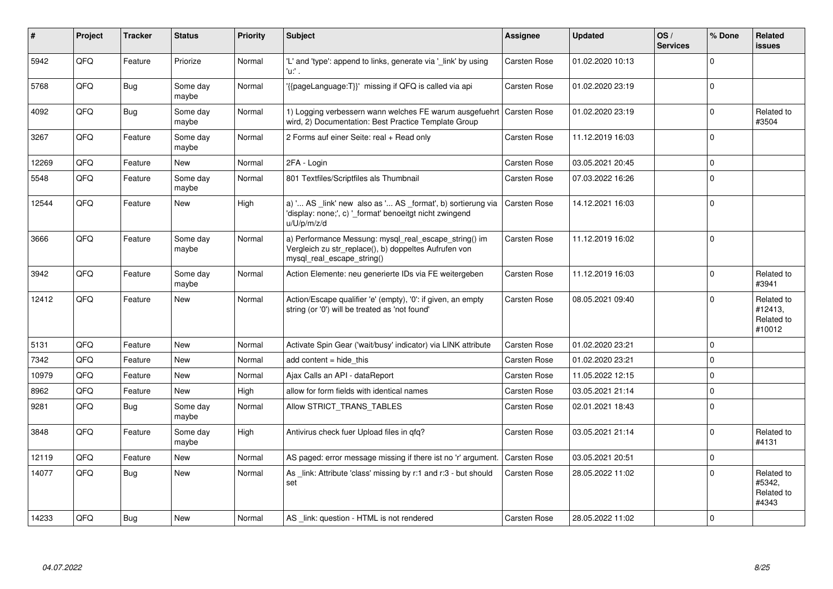| ∦     | Project | <b>Tracker</b> | <b>Status</b>     | <b>Priority</b> | <b>Subject</b>                                                                                                                               | Assignee            | <b>Updated</b>   | OS/<br><b>Services</b> | % Done      | Related<br><b>issues</b>                      |
|-------|---------|----------------|-------------------|-----------------|----------------------------------------------------------------------------------------------------------------------------------------------|---------------------|------------------|------------------------|-------------|-----------------------------------------------|
| 5942  | QFQ     | Feature        | Priorize          | Normal          | 'L' and 'type': append to links, generate via 'link' by using<br>'u:' .                                                                      | Carsten Rose        | 01.02.2020 10:13 |                        | $\Omega$    |                                               |
| 5768  | QFQ     | <b>Bug</b>     | Some day<br>maybe | Normal          | '{{pageLanguage:T}}' missing if QFQ is called via api                                                                                        | <b>Carsten Rose</b> | 01.02.2020 23:19 |                        | $\Omega$    |                                               |
| 4092  | QFQ     | Bug            | Some day<br>maybe | Normal          | 1) Logging verbessern wann welches FE warum ausgefuehrt   Carsten Rose<br>wird, 2) Documentation: Best Practice Template Group               |                     | 01.02.2020 23:19 |                        | $\mathbf 0$ | Related to<br>#3504                           |
| 3267  | QFQ     | Feature        | Some day<br>maybe | Normal          | 2 Forms auf einer Seite: real + Read only                                                                                                    | <b>Carsten Rose</b> | 11.12.2019 16:03 |                        | $\Omega$    |                                               |
| 12269 | QFQ     | Feature        | <b>New</b>        | Normal          | 2FA - Login                                                                                                                                  | Carsten Rose        | 03.05.2021 20:45 |                        | $\Omega$    |                                               |
| 5548  | QFQ     | Feature        | Some day<br>maybe | Normal          | 801 Textfiles/Scriptfiles als Thumbnail                                                                                                      | Carsten Rose        | 07.03.2022 16:26 |                        | $\Omega$    |                                               |
| 12544 | QFQ     | Feature        | <b>New</b>        | High            | a) ' AS _link' new also as ' AS _format', b) sortierung via<br>'display: none;', c) '_format' benoeitgt nicht zwingend<br>u/U/p/m/z/d        | <b>Carsten Rose</b> | 14.12.2021 16:03 |                        | $\Omega$    |                                               |
| 3666  | QFQ     | Feature        | Some day<br>maybe | Normal          | a) Performance Messung: mysql_real_escape_string() im<br>Vergleich zu str replace(), b) doppeltes Aufrufen von<br>mysql real escape string() | <b>Carsten Rose</b> | 11.12.2019 16:02 |                        | $\mathbf 0$ |                                               |
| 3942  | QFQ     | Feature        | Some day<br>maybe | Normal          | Action Elemente: neu generierte IDs via FE weitergeben                                                                                       | <b>Carsten Rose</b> | 11.12.2019 16:03 |                        | $\Omega$    | Related to<br>#3941                           |
| 12412 | QFQ     | Feature        | <b>New</b>        | Normal          | Action/Escape qualifier 'e' (empty), '0': if given, an empty<br>string (or '0') will be treated as 'not found'                               | <b>Carsten Rose</b> | 08.05.2021 09:40 |                        | $\Omega$    | Related to<br>#12413,<br>Related to<br>#10012 |
| 5131  | QFQ     | Feature        | <b>New</b>        | Normal          | Activate Spin Gear ('wait/busy' indicator) via LINK attribute                                                                                | <b>Carsten Rose</b> | 01.02.2020 23:21 |                        | $\Omega$    |                                               |
| 7342  | QFQ     | Feature        | <b>New</b>        | Normal          | add content $=$ hide this                                                                                                                    | <b>Carsten Rose</b> | 01.02.2020 23:21 |                        | $\mathbf 0$ |                                               |
| 10979 | QFQ     | Feature        | New               | Normal          | Ajax Calls an API - dataReport                                                                                                               | <b>Carsten Rose</b> | 11.05.2022 12:15 |                        | $\Omega$    |                                               |
| 8962  | QFQ     | Feature        | <b>New</b>        | High            | allow for form fields with identical names                                                                                                   | <b>Carsten Rose</b> | 03.05.2021 21:14 |                        | $\mathbf 0$ |                                               |
| 9281  | QFQ     | Bug            | Some day<br>maybe | Normal          | Allow STRICT TRANS TABLES                                                                                                                    | <b>Carsten Rose</b> | 02.01.2021 18:43 |                        | $\mathbf 0$ |                                               |
| 3848  | QFQ     | Feature        | Some day<br>maybe | High            | Antivirus check fuer Upload files in gfg?                                                                                                    | <b>Carsten Rose</b> | 03.05.2021 21:14 |                        | $\Omega$    | Related to<br>#4131                           |
| 12119 | QFQ     | Feature        | <b>New</b>        | Normal          | AS paged: error message missing if there ist no 'r' argument.                                                                                | <b>Carsten Rose</b> | 03.05.2021 20:51 |                        | $\mathbf 0$ |                                               |
| 14077 | QFQ     | <b>Bug</b>     | <b>New</b>        | Normal          | As link: Attribute 'class' missing by r:1 and r:3 - but should<br>set                                                                        | Carsten Rose        | 28.05.2022 11:02 |                        | $\Omega$    | Related to<br>#5342.<br>Related to<br>#4343   |
| 14233 | QFQ     | Bug            | <b>New</b>        | Normal          | AS _link: question - HTML is not rendered                                                                                                    | <b>Carsten Rose</b> | 28.05.2022 11:02 |                        | $\Omega$    |                                               |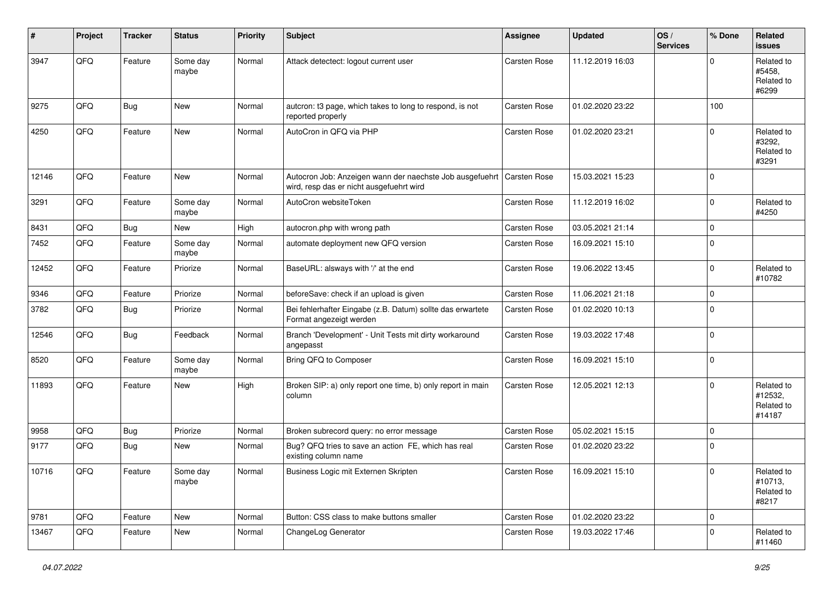| #     | Project | <b>Tracker</b> | <b>Status</b>     | <b>Priority</b> | <b>Subject</b>                                                                                       | <b>Assignee</b> | <b>Updated</b>   | OS/<br><b>Services</b> | % Done      | Related<br><b>issues</b>                      |
|-------|---------|----------------|-------------------|-----------------|------------------------------------------------------------------------------------------------------|-----------------|------------------|------------------------|-------------|-----------------------------------------------|
| 3947  | QFQ     | Feature        | Some day<br>maybe | Normal          | Attack detectect: logout current user                                                                | Carsten Rose    | 11.12.2019 16:03 |                        | $\Omega$    | Related to<br>#5458,<br>Related to<br>#6299   |
| 9275  | QFQ     | Bug            | <b>New</b>        | Normal          | autcron: t3 page, which takes to long to respond, is not<br>reported properly                        | Carsten Rose    | 01.02.2020 23:22 |                        | 100         |                                               |
| 4250  | QFQ     | Feature        | New               | Normal          | AutoCron in QFQ via PHP                                                                              | Carsten Rose    | 01.02.2020 23:21 |                        | $\Omega$    | Related to<br>#3292,<br>Related to<br>#3291   |
| 12146 | QFQ     | Feature        | New               | Normal          | Autocron Job: Anzeigen wann der naechste Job ausgefuehrt<br>wird, resp das er nicht ausgefuehrt wird | Carsten Rose    | 15.03.2021 15:23 |                        | $\Omega$    |                                               |
| 3291  | QFQ     | Feature        | Some day<br>maybe | Normal          | AutoCron websiteToken                                                                                | Carsten Rose    | 11.12.2019 16:02 |                        | $\mathbf 0$ | Related to<br>#4250                           |
| 8431  | QFQ     | <b>Bug</b>     | New               | High            | autocron.php with wrong path                                                                         | Carsten Rose    | 03.05.2021 21:14 |                        | $\mathbf 0$ |                                               |
| 7452  | QFQ     | Feature        | Some day<br>maybe | Normal          | automate deployment new QFQ version                                                                  | Carsten Rose    | 16.09.2021 15:10 |                        | 0           |                                               |
| 12452 | QFQ     | Feature        | Priorize          | Normal          | BaseURL: alsways with '/' at the end                                                                 | Carsten Rose    | 19.06.2022 13:45 |                        | $\Omega$    | Related to<br>#10782                          |
| 9346  | QFQ     | Feature        | Priorize          | Normal          | beforeSave: check if an upload is given                                                              | Carsten Rose    | 11.06.2021 21:18 |                        | $\mathbf 0$ |                                               |
| 3782  | QFQ     | Bug            | Priorize          | Normal          | Bei fehlerhafter Eingabe (z.B. Datum) sollte das erwartete<br>Format angezeigt werden                | Carsten Rose    | 01.02.2020 10:13 |                        | $\mathbf 0$ |                                               |
| 12546 | QFQ     | Bug            | Feedback          | Normal          | Branch 'Development' - Unit Tests mit dirty workaround<br>angepasst                                  | Carsten Rose    | 19.03.2022 17:48 |                        | $\mathbf 0$ |                                               |
| 8520  | QFQ     | Feature        | Some day<br>maybe | Normal          | Bring QFQ to Composer                                                                                | Carsten Rose    | 16.09.2021 15:10 |                        | $\mathbf 0$ |                                               |
| 11893 | QFQ     | Feature        | New               | High            | Broken SIP: a) only report one time, b) only report in main<br>column                                | Carsten Rose    | 12.05.2021 12:13 |                        | $\Omega$    | Related to<br>#12532,<br>Related to<br>#14187 |
| 9958  | QFQ     | Bug            | Priorize          | Normal          | Broken subrecord query: no error message                                                             | Carsten Rose    | 05.02.2021 15:15 |                        | $\mathbf 0$ |                                               |
| 9177  | QFQ     | Bug            | New               | Normal          | Bug? QFQ tries to save an action FE, which has real<br>existing column name                          | Carsten Rose    | 01.02.2020 23:22 |                        | 0           |                                               |
| 10716 | QFG     | Feature        | Some day<br>maybe | Normal          | Business Logic mit Externen Skripten                                                                 | Carsten Rose    | 16.09.2021 15:10 |                        | $\pmb{0}$   | Related to<br>#10713,<br>Related to<br>#8217  |
| 9781  | QFQ     | Feature        | New               | Normal          | Button: CSS class to make buttons smaller                                                            | Carsten Rose    | 01.02.2020 23:22 |                        | $\mathbf 0$ |                                               |
| 13467 | QFQ     | Feature        | New               | Normal          | ChangeLog Generator                                                                                  | Carsten Rose    | 19.03.2022 17:46 |                        | $\mathbf 0$ | Related to<br>#11460                          |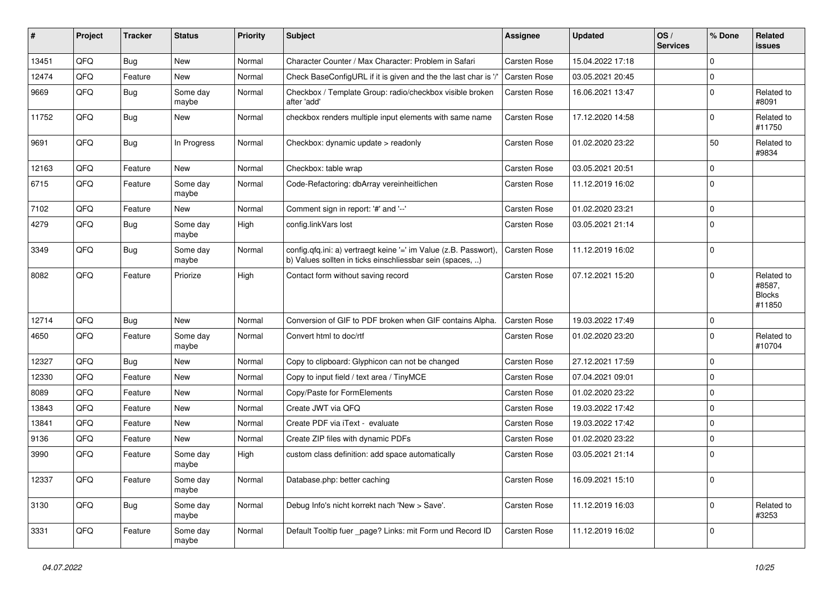| #     | Project | <b>Tracker</b> | <b>Status</b>     | <b>Priority</b> | Subject                                                                                                                       | Assignee     | <b>Updated</b>   | OS/<br><b>Services</b> | % Done      | Related<br><b>issues</b>                        |
|-------|---------|----------------|-------------------|-----------------|-------------------------------------------------------------------------------------------------------------------------------|--------------|------------------|------------------------|-------------|-------------------------------------------------|
| 13451 | QFQ     | Bug            | <b>New</b>        | Normal          | Character Counter / Max Character: Problem in Safari                                                                          | Carsten Rose | 15.04.2022 17:18 |                        | $\mathbf 0$ |                                                 |
| 12474 | QFQ     | Feature        | New               | Normal          | Check BaseConfigURL if it is given and the the last char is '/'                                                               | Carsten Rose | 03.05.2021 20:45 |                        | $\mathbf 0$ |                                                 |
| 9669  | QFQ     | <b>Bug</b>     | Some day<br>maybe | Normal          | Checkbox / Template Group: radio/checkbox visible broken<br>after 'add'                                                       | Carsten Rose | 16.06.2021 13:47 |                        | $\mathbf 0$ | Related to<br>#8091                             |
| 11752 | QFQ     | <b>Bug</b>     | New               | Normal          | checkbox renders multiple input elements with same name                                                                       | Carsten Rose | 17.12.2020 14:58 |                        | $\mathbf 0$ | Related to<br>#11750                            |
| 9691  | QFQ     | <b>Bug</b>     | In Progress       | Normal          | Checkbox: dynamic update > readonly                                                                                           | Carsten Rose | 01.02.2020 23:22 |                        | 50          | Related to<br>#9834                             |
| 12163 | QFQ     | Feature        | New               | Normal          | Checkbox: table wrap                                                                                                          | Carsten Rose | 03.05.2021 20:51 |                        | $\mathbf 0$ |                                                 |
| 6715  | QFQ     | Feature        | Some day<br>maybe | Normal          | Code-Refactoring: dbArray vereinheitlichen                                                                                    | Carsten Rose | 11.12.2019 16:02 |                        | $\mathbf 0$ |                                                 |
| 7102  | QFQ     | Feature        | New               | Normal          | Comment sign in report: '#' and '--'                                                                                          | Carsten Rose | 01.02.2020 23:21 |                        | $\mathbf 0$ |                                                 |
| 4279  | QFQ     | Bug            | Some day<br>maybe | High            | config.linkVars lost                                                                                                          | Carsten Rose | 03.05.2021 21:14 |                        | $\mathbf 0$ |                                                 |
| 3349  | QFQ     | <b>Bug</b>     | Some day<br>maybe | Normal          | config.qfq.ini: a) vertraegt keine '=' im Value (z.B. Passwort),<br>b) Values sollten in ticks einschliessbar sein (spaces, ) | Carsten Rose | 11.12.2019 16:02 |                        | $\pmb{0}$   |                                                 |
| 8082  | QFQ     | Feature        | Priorize          | High            | Contact form without saving record                                                                                            | Carsten Rose | 07.12.2021 15:20 |                        | $\mathbf 0$ | Related to<br>#8587,<br><b>Blocks</b><br>#11850 |
| 12714 | QFQ     | Bug            | New               | Normal          | Conversion of GIF to PDF broken when GIF contains Alpha.                                                                      | Carsten Rose | 19.03.2022 17:49 |                        | $\mathbf 0$ |                                                 |
| 4650  | QFQ     | Feature        | Some day<br>maybe | Normal          | Convert html to doc/rtf                                                                                                       | Carsten Rose | 01.02.2020 23:20 |                        | $\mathbf 0$ | Related to<br>#10704                            |
| 12327 | QFQ     | Bug            | New               | Normal          | Copy to clipboard: Glyphicon can not be changed                                                                               | Carsten Rose | 27.12.2021 17:59 |                        | $\mathbf 0$ |                                                 |
| 12330 | QFQ     | Feature        | New               | Normal          | Copy to input field / text area / TinyMCE                                                                                     | Carsten Rose | 07.04.2021 09:01 |                        | $\mathbf 0$ |                                                 |
| 8089  | QFQ     | Feature        | New               | Normal          | Copy/Paste for FormElements                                                                                                   | Carsten Rose | 01.02.2020 23:22 |                        | $\pmb{0}$   |                                                 |
| 13843 | QFQ     | Feature        | New               | Normal          | Create JWT via QFQ                                                                                                            | Carsten Rose | 19.03.2022 17:42 |                        | $\mathbf 0$ |                                                 |
| 13841 | QFQ     | Feature        | <b>New</b>        | Normal          | Create PDF via iText - evaluate                                                                                               | Carsten Rose | 19.03.2022 17:42 |                        | $\mathbf 0$ |                                                 |
| 9136  | QFQ     | Feature        | New               | Normal          | Create ZIP files with dynamic PDFs                                                                                            | Carsten Rose | 01.02.2020 23:22 |                        | $\mathbf 0$ |                                                 |
| 3990  | QFQ     | Feature        | Some day<br>maybe | High            | custom class definition: add space automatically                                                                              | Carsten Rose | 03.05.2021 21:14 |                        | $\mathbf 0$ |                                                 |
| 12337 | QFQ     | Feature        | Some day<br>maybe | Normal          | Database.php: better caching                                                                                                  | Carsten Rose | 16.09.2021 15:10 |                        | $\pmb{0}$   |                                                 |
| 3130  | QFQ     | Bug            | Some day<br>maybe | Normal          | Debug Info's nicht korrekt nach 'New > Save'.                                                                                 | Carsten Rose | 11.12.2019 16:03 |                        | $\mathbf 0$ | Related to<br>#3253                             |
| 3331  | QFQ     | Feature        | Some day<br>maybe | Normal          | Default Tooltip fuer _page? Links: mit Form und Record ID                                                                     | Carsten Rose | 11.12.2019 16:02 |                        | 0           |                                                 |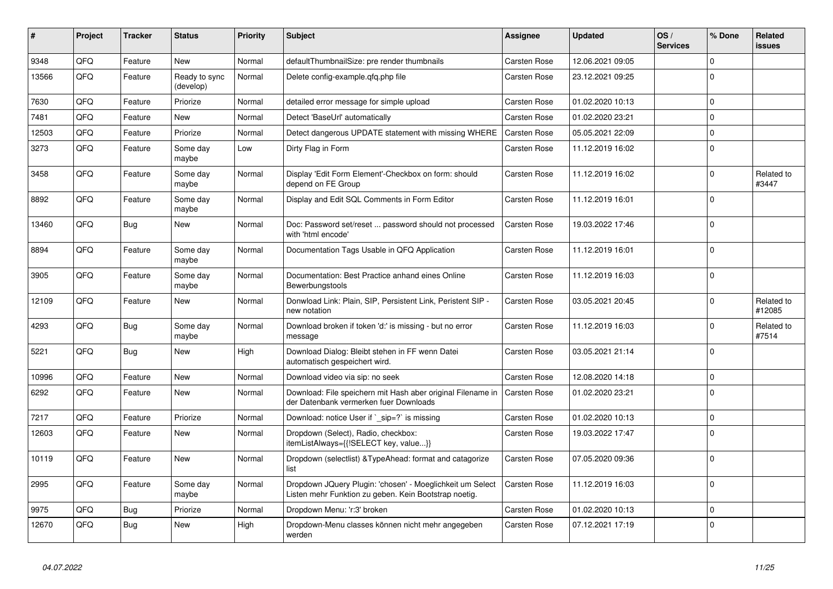| $\vert$ # | Project | <b>Tracker</b> | <b>Status</b>              | <b>Priority</b> | <b>Subject</b>                                                                                                     | Assignee            | <b>Updated</b>   | OS/<br><b>Services</b> | % Done      | Related<br>issues    |
|-----------|---------|----------------|----------------------------|-----------------|--------------------------------------------------------------------------------------------------------------------|---------------------|------------------|------------------------|-------------|----------------------|
| 9348      | QFQ     | Feature        | <b>New</b>                 | Normal          | defaultThumbnailSize: pre render thumbnails                                                                        | <b>Carsten Rose</b> | 12.06.2021 09:05 |                        | $\Omega$    |                      |
| 13566     | QFQ     | Feature        | Ready to sync<br>(develop) | Normal          | Delete config-example.gfg.php file                                                                                 | <b>Carsten Rose</b> | 23.12.2021 09:25 |                        | $\Omega$    |                      |
| 7630      | QFQ     | Feature        | Priorize                   | Normal          | detailed error message for simple upload                                                                           | <b>Carsten Rose</b> | 01.02.2020 10:13 |                        | $\Omega$    |                      |
| 7481      | QFQ     | Feature        | <b>New</b>                 | Normal          | Detect 'BaseUrl' automatically                                                                                     | <b>Carsten Rose</b> | 01.02.2020 23:21 |                        | $\Omega$    |                      |
| 12503     | QFQ     | Feature        | Priorize                   | Normal          | Detect dangerous UPDATE statement with missing WHERE                                                               | <b>Carsten Rose</b> | 05.05.2021 22:09 |                        | $\mathbf 0$ |                      |
| 3273      | QFQ     | Feature        | Some day<br>maybe          | Low             | Dirty Flag in Form                                                                                                 | <b>Carsten Rose</b> | 11.12.2019 16:02 |                        | 0           |                      |
| 3458      | QFQ     | Feature        | Some day<br>maybe          | Normal          | Display 'Edit Form Element'-Checkbox on form: should<br>depend on FE Group                                         | Carsten Rose        | 11.12.2019 16:02 |                        | $\Omega$    | Related to<br>#3447  |
| 8892      | QFQ     | Feature        | Some day<br>maybe          | Normal          | Display and Edit SQL Comments in Form Editor                                                                       | <b>Carsten Rose</b> | 11.12.2019 16:01 |                        | $\Omega$    |                      |
| 13460     | QFQ     | <b>Bug</b>     | <b>New</b>                 | Normal          | Doc: Password set/reset  password should not processed<br>with 'html encode'                                       | <b>Carsten Rose</b> | 19.03.2022 17:46 |                        | $\Omega$    |                      |
| 8894      | QFQ     | Feature        | Some day<br>maybe          | Normal          | Documentation Tags Usable in QFQ Application                                                                       | Carsten Rose        | 11.12.2019 16:01 |                        | $\Omega$    |                      |
| 3905      | QFQ     | Feature        | Some day<br>maybe          | Normal          | Documentation: Best Practice anhand eines Online<br><b>Bewerbungstools</b>                                         | Carsten Rose        | 11.12.2019 16:03 |                        | $\Omega$    |                      |
| 12109     | QFQ     | Feature        | <b>New</b>                 | Normal          | Donwload Link: Plain, SIP, Persistent Link, Peristent SIP -<br>new notation                                        | <b>Carsten Rose</b> | 03.05.2021 20:45 |                        | $\Omega$    | Related to<br>#12085 |
| 4293      | QFQ     | <b>Bug</b>     | Some day<br>maybe          | Normal          | Download broken if token 'd:' is missing - but no error<br>message                                                 | <b>Carsten Rose</b> | 11.12.2019 16:03 |                        | $\Omega$    | Related to<br>#7514  |
| 5221      | QFQ     | Bug            | <b>New</b>                 | High            | Download Dialog: Bleibt stehen in FF wenn Datei<br>automatisch gespeichert wird.                                   | <b>Carsten Rose</b> | 03.05.2021 21:14 |                        | $\Omega$    |                      |
| 10996     | QFQ     | Feature        | <b>New</b>                 | Normal          | Download video via sip: no seek                                                                                    | <b>Carsten Rose</b> | 12.08.2020 14:18 |                        | $\Omega$    |                      |
| 6292      | QFQ     | Feature        | <b>New</b>                 | Normal          | Download: File speichern mit Hash aber original Filename in<br>der Datenbank vermerken fuer Downloads              | Carsten Rose        | 01.02.2020 23:21 |                        | $\Omega$    |                      |
| 7217      | QFQ     | Feature        | Priorize                   | Normal          | Download: notice User if `_sip=?` is missing                                                                       | <b>Carsten Rose</b> | 01.02.2020 10:13 |                        | $\Omega$    |                      |
| 12603     | QFQ     | Feature        | <b>New</b>                 | Normal          | Dropdown (Select), Radio, checkbox:<br>itemListAlways={{!SELECT key, value}}                                       | Carsten Rose        | 19.03.2022 17:47 |                        | $\Omega$    |                      |
| 10119     | QFQ     | Feature        | New                        | Normal          | Dropdown (selectlist) & TypeAhead: format and catagorize<br>list                                                   | <b>Carsten Rose</b> | 07.05.2020 09:36 |                        | $\Omega$    |                      |
| 2995      | QFQ     | Feature        | Some day<br>maybe          | Normal          | Dropdown JQuery Plugin: 'chosen' - Moeglichkeit um Select<br>Listen mehr Funktion zu geben. Kein Bootstrap noetig. | <b>Carsten Rose</b> | 11.12.2019 16:03 |                        | $\Omega$    |                      |
| 9975      | QFQ     | <b>Bug</b>     | Priorize                   | Normal          | Dropdown Menu: 'r:3' broken                                                                                        | <b>Carsten Rose</b> | 01.02.2020 10:13 |                        | $\Omega$    |                      |
| 12670     | QFQ     | <b>Bug</b>     | <b>New</b>                 | High            | Dropdown-Menu classes können nicht mehr angegeben<br>werden                                                        | <b>Carsten Rose</b> | 07.12.2021 17:19 |                        | $\Omega$    |                      |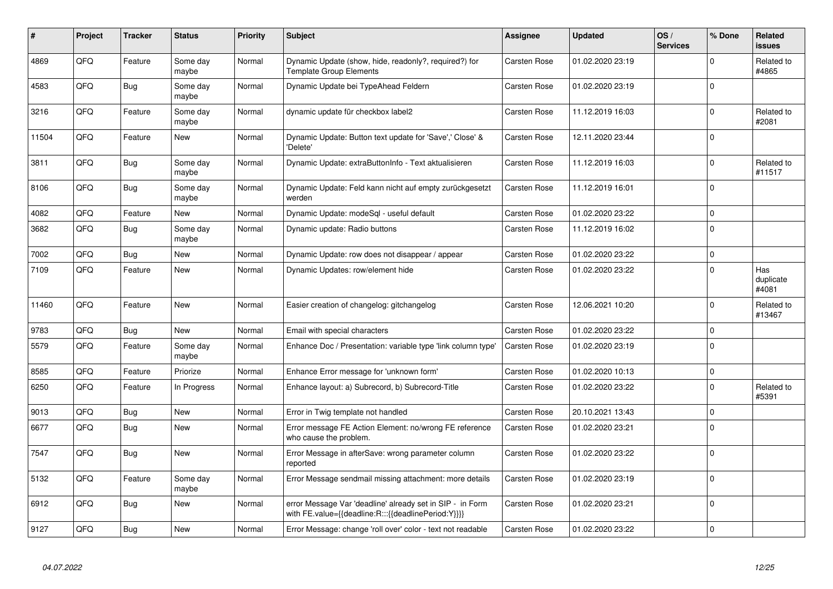| #     | Project | <b>Tracker</b> | <b>Status</b>     | <b>Priority</b> | <b>Subject</b>                                                                                                   | Assignee            | <b>Updated</b>   | OS/<br><b>Services</b> | % Done      | Related<br>issues         |
|-------|---------|----------------|-------------------|-----------------|------------------------------------------------------------------------------------------------------------------|---------------------|------------------|------------------------|-------------|---------------------------|
| 4869  | QFQ     | Feature        | Some day<br>maybe | Normal          | Dynamic Update (show, hide, readonly?, required?) for<br><b>Template Group Elements</b>                          | <b>Carsten Rose</b> | 01.02.2020 23:19 |                        | $\Omega$    | Related to<br>#4865       |
| 4583  | QFQ     | Bug            | Some day<br>maybe | Normal          | Dynamic Update bei TypeAhead Feldern                                                                             | <b>Carsten Rose</b> | 01.02.2020 23:19 |                        | $\Omega$    |                           |
| 3216  | QFQ     | Feature        | Some day<br>maybe | Normal          | dynamic update für checkbox label2                                                                               | <b>Carsten Rose</b> | 11.12.2019 16:03 |                        | $\Omega$    | Related to<br>#2081       |
| 11504 | QFQ     | Feature        | <b>New</b>        | Normal          | Dynamic Update: Button text update for 'Save',' Close' &<br>'Delete'                                             | <b>Carsten Rose</b> | 12.11.2020 23:44 |                        | $\Omega$    |                           |
| 3811  | QFQ     | Bug            | Some day<br>maybe | Normal          | Dynamic Update: extraButtonInfo - Text aktualisieren                                                             | <b>Carsten Rose</b> | 11.12.2019 16:03 |                        | 0           | Related to<br>#11517      |
| 8106  | QFQ     | <b>Bug</b>     | Some day<br>maybe | Normal          | Dynamic Update: Feld kann nicht auf empty zurückgesetzt<br>werden                                                | <b>Carsten Rose</b> | 11.12.2019 16:01 |                        | 0           |                           |
| 4082  | QFQ     | Feature        | New               | Normal          | Dynamic Update: modeSql - useful default                                                                         | Carsten Rose        | 01.02.2020 23:22 |                        | $\Omega$    |                           |
| 3682  | QFQ     | <b>Bug</b>     | Some day<br>maybe | Normal          | Dynamic update: Radio buttons                                                                                    | <b>Carsten Rose</b> | 11.12.2019 16:02 |                        | $\mathbf 0$ |                           |
| 7002  | QFQ     | <b>Bug</b>     | <b>New</b>        | Normal          | Dynamic Update: row does not disappear / appear                                                                  | <b>Carsten Rose</b> | 01.02.2020 23:22 |                        | 0           |                           |
| 7109  | QFQ     | Feature        | <b>New</b>        | Normal          | Dynamic Updates: row/element hide                                                                                | <b>Carsten Rose</b> | 01.02.2020 23:22 |                        | $\Omega$    | Has<br>duplicate<br>#4081 |
| 11460 | QFQ     | Feature        | <b>New</b>        | Normal          | Easier creation of changelog: gitchangelog                                                                       | Carsten Rose        | 12.06.2021 10:20 |                        | $\Omega$    | Related to<br>#13467      |
| 9783  | QFQ     | <b>Bug</b>     | <b>New</b>        | Normal          | Email with special characters                                                                                    | Carsten Rose        | 01.02.2020 23:22 |                        | $\Omega$    |                           |
| 5579  | QFQ     | Feature        | Some day<br>maybe | Normal          | Enhance Doc / Presentation: variable type 'link column type'                                                     | <b>Carsten Rose</b> | 01.02.2020 23:19 |                        | $\Omega$    |                           |
| 8585  | QFQ     | Feature        | Priorize          | Normal          | Enhance Error message for 'unknown form'                                                                         | <b>Carsten Rose</b> | 01.02.2020 10:13 |                        | $\Omega$    |                           |
| 6250  | QFQ     | Feature        | In Progress       | Normal          | Enhance layout: a) Subrecord, b) Subrecord-Title                                                                 | <b>Carsten Rose</b> | 01.02.2020 23:22 |                        | $\Omega$    | Related to<br>#5391       |
| 9013  | QFQ     | Bug            | New               | Normal          | Error in Twig template not handled                                                                               | <b>Carsten Rose</b> | 20.10.2021 13:43 |                        | $\mathbf 0$ |                           |
| 6677  | QFQ     | Bug            | <b>New</b>        | Normal          | Error message FE Action Element: no/wrong FE reference<br>who cause the problem.                                 | <b>Carsten Rose</b> | 01.02.2020 23:21 |                        | $\Omega$    |                           |
| 7547  | QFQ     | Bug            | <b>New</b>        | Normal          | Error Message in afterSave: wrong parameter column<br>reported                                                   | <b>Carsten Rose</b> | 01.02.2020 23:22 |                        | $\Omega$    |                           |
| 5132  | QFQ     | Feature        | Some day<br>maybe | Normal          | Error Message sendmail missing attachment: more details                                                          | <b>Carsten Rose</b> | 01.02.2020 23:19 |                        | $\Omega$    |                           |
| 6912  | QFQ     | Bug            | <b>New</b>        | Normal          | error Message Var 'deadline' already set in SIP - in Form<br>with FE.value={{deadline:R:::{{deadlinePeriod:Y}}}} | <b>Carsten Rose</b> | 01.02.2020 23:21 |                        | $\Omega$    |                           |
| 9127  | QFQ     | Bug            | <b>New</b>        | Normal          | Error Message: change 'roll over' color - text not readable                                                      | <b>Carsten Rose</b> | 01.02.2020 23:22 |                        | $\Omega$    |                           |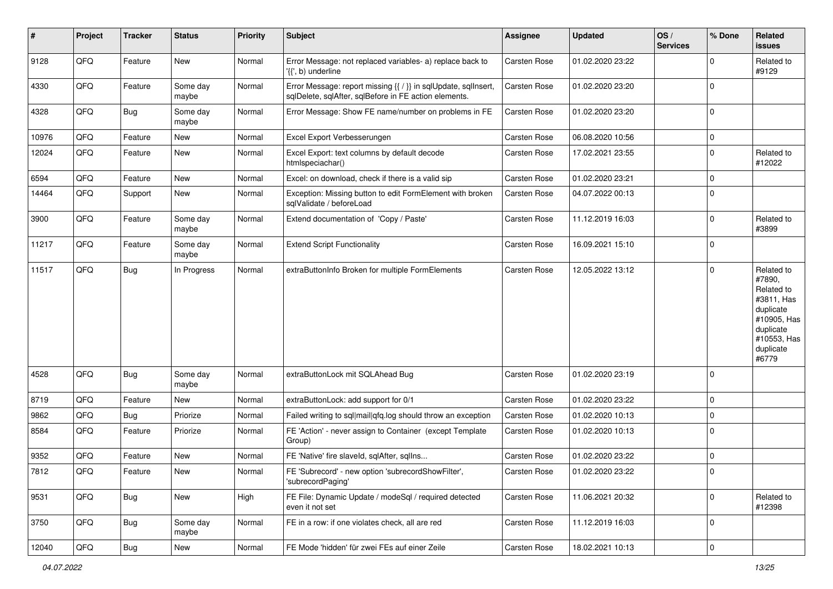| #     | Project | <b>Tracker</b> | <b>Status</b>     | <b>Priority</b> | <b>Subject</b>                                                                                                          | Assignee            | <b>Updated</b>   | OS/<br><b>Services</b> | % Done      | Related<br>issues                                                                                                              |
|-------|---------|----------------|-------------------|-----------------|-------------------------------------------------------------------------------------------------------------------------|---------------------|------------------|------------------------|-------------|--------------------------------------------------------------------------------------------------------------------------------|
| 9128  | QFQ     | Feature        | <b>New</b>        | Normal          | Error Message: not replaced variables- a) replace back to<br>'{{', b) underline                                         | Carsten Rose        | 01.02.2020 23:22 |                        | 0           | Related to<br>#9129                                                                                                            |
| 4330  | QFQ     | Feature        | Some day<br>maybe | Normal          | Error Message: report missing {{ / }} in sqlUpdate, sqlInsert,<br>sqlDelete, sqlAfter, sqlBefore in FE action elements. | <b>Carsten Rose</b> | 01.02.2020 23:20 |                        | $\Omega$    |                                                                                                                                |
| 4328  | QFQ     | Bug            | Some day<br>maybe | Normal          | Error Message: Show FE name/number on problems in FE                                                                    | <b>Carsten Rose</b> | 01.02.2020 23:20 |                        | 0           |                                                                                                                                |
| 10976 | QFQ     | Feature        | <b>New</b>        | Normal          | Excel Export Verbesserungen                                                                                             | <b>Carsten Rose</b> | 06.08.2020 10:56 |                        | 0           |                                                                                                                                |
| 12024 | QFQ     | Feature        | New               | Normal          | Excel Export: text columns by default decode<br>htmlspeciachar()                                                        | Carsten Rose        | 17.02.2021 23:55 |                        | $\Omega$    | Related to<br>#12022                                                                                                           |
| 6594  | QFQ     | Feature        | <b>New</b>        | Normal          | Excel: on download, check if there is a valid sip                                                                       | Carsten Rose        | 01.02.2020 23:21 |                        | $\Omega$    |                                                                                                                                |
| 14464 | QFQ     | Support        | New               | Normal          | Exception: Missing button to edit FormElement with broken<br>sqlValidate / beforeLoad                                   | <b>Carsten Rose</b> | 04.07.2022 00:13 |                        | 0           |                                                                                                                                |
| 3900  | QFQ     | Feature        | Some day<br>maybe | Normal          | Extend documentation of 'Copy / Paste'                                                                                  | <b>Carsten Rose</b> | 11.12.2019 16:03 |                        | 0           | Related to<br>#3899                                                                                                            |
| 11217 | QFQ     | Feature        | Some day<br>maybe | Normal          | <b>Extend Script Functionality</b>                                                                                      | <b>Carsten Rose</b> | 16.09.2021 15:10 |                        | $\Omega$    |                                                                                                                                |
| 11517 | QFQ     | Bug            | In Progress       | Normal          | extraButtonInfo Broken for multiple FormElements                                                                        | <b>Carsten Rose</b> | 12.05.2022 13:12 |                        | $\Omega$    | Related to<br>#7890,<br>Related to<br>#3811, Has<br>duplicate<br>#10905, Has<br>duplicate<br>#10553, Has<br>duplicate<br>#6779 |
| 4528  | QFQ     | Bug            | Some day<br>maybe | Normal          | extraButtonLock mit SQLAhead Bug                                                                                        | Carsten Rose        | 01.02.2020 23:19 |                        | $\Omega$    |                                                                                                                                |
| 8719  | QFQ     | Feature        | <b>New</b>        | Normal          | extraButtonLock: add support for 0/1                                                                                    | Carsten Rose        | 01.02.2020 23:22 |                        | $\Omega$    |                                                                                                                                |
| 9862  | QFQ     | Bug            | Priorize          | Normal          | Failed writing to sql mail qfq.log should throw an exception                                                            | Carsten Rose        | 01.02.2020 10:13 |                        | $\Omega$    |                                                                                                                                |
| 8584  | QFQ     | Feature        | Priorize          | Normal          | FE 'Action' - never assign to Container (except Template<br>Group)                                                      | Carsten Rose        | 01.02.2020 10:13 |                        | $\mathbf 0$ |                                                                                                                                |
| 9352  | QFQ     | Feature        | New               | Normal          | FE 'Native' fire slaveld, sqlAfter, sqlIns                                                                              | <b>Carsten Rose</b> | 01.02.2020 23:22 |                        | $\Omega$    |                                                                                                                                |
| 7812  | QFQ     | Feature        | New               | Normal          | FE 'Subrecord' - new option 'subrecordShowFilter',<br>'subrecordPaging'                                                 | Carsten Rose        | 01.02.2020 23:22 |                        |             |                                                                                                                                |
| 9531  | QFQ     | Bug            | New               | High            | FE File: Dynamic Update / modeSql / required detected<br>even it not set                                                | Carsten Rose        | 11.06.2021 20:32 |                        | 0           | Related to<br>#12398                                                                                                           |
| 3750  | QFQ     | Bug            | Some day<br>maybe | Normal          | FE in a row: if one violates check, all are red                                                                         | Carsten Rose        | 11.12.2019 16:03 |                        | $\mathbf 0$ |                                                                                                                                |
| 12040 | QFQ     | Bug            | New               | Normal          | FE Mode 'hidden' für zwei FEs auf einer Zeile                                                                           | Carsten Rose        | 18.02.2021 10:13 |                        | 0           |                                                                                                                                |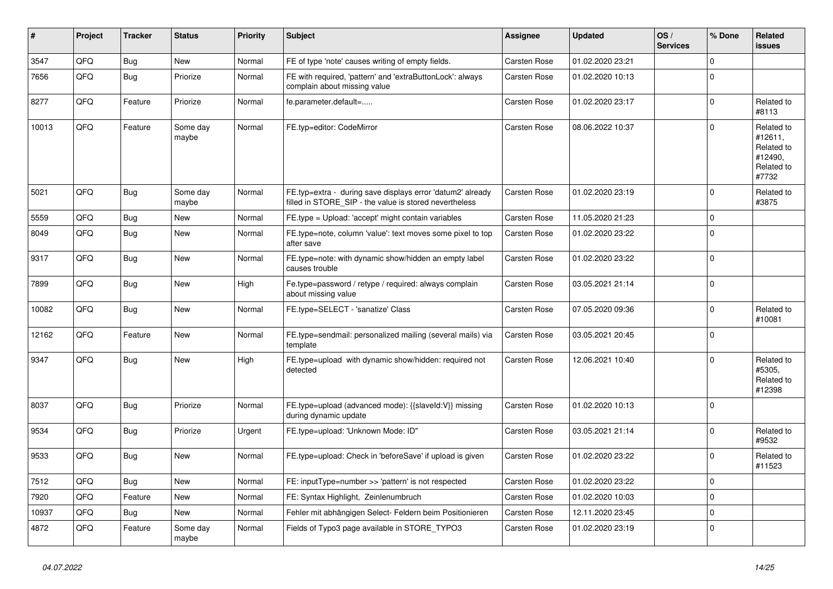| #     | Project | <b>Tracker</b> | <b>Status</b>     | <b>Priority</b> | <b>Subject</b>                                                                                                       | Assignee            | <b>Updated</b>   | OS/<br><b>Services</b> | % Done         | Related<br><b>issues</b>                                              |
|-------|---------|----------------|-------------------|-----------------|----------------------------------------------------------------------------------------------------------------------|---------------------|------------------|------------------------|----------------|-----------------------------------------------------------------------|
| 3547  | QFQ     | <b>Bug</b>     | <b>New</b>        | Normal          | FE of type 'note' causes writing of empty fields.                                                                    | <b>Carsten Rose</b> | 01.02.2020 23:21 |                        | $\Omega$       |                                                                       |
| 7656  | QFQ     | Bug            | Priorize          | Normal          | FE with required, 'pattern' and 'extraButtonLock': always<br>complain about missing value                            | <b>Carsten Rose</b> | 01.02.2020 10:13 |                        | $\Omega$       |                                                                       |
| 8277  | QFQ     | Feature        | Priorize          | Normal          | fe.parameter.default=                                                                                                | <b>Carsten Rose</b> | 01.02.2020 23:17 |                        | $\Omega$       | Related to<br>#8113                                                   |
| 10013 | QFQ     | Feature        | Some day<br>maybe | Normal          | FE.typ=editor: CodeMirror                                                                                            | <b>Carsten Rose</b> | 08.06.2022 10:37 |                        | $\Omega$       | Related to<br>#12611,<br>Related to<br>#12490,<br>Related to<br>#7732 |
| 5021  | QFQ     | <b>Bug</b>     | Some day<br>maybe | Normal          | FE.typ=extra - during save displays error 'datum2' already<br>filled in STORE SIP - the value is stored nevertheless | <b>Carsten Rose</b> | 01.02.2020 23:19 |                        | $\Omega$       | Related to<br>#3875                                                   |
| 5559  | QFQ     | Bug            | <b>New</b>        | Normal          | FE.type = Upload: 'accept' might contain variables                                                                   | <b>Carsten Rose</b> | 11.05.2020 21:23 |                        | $\Omega$       |                                                                       |
| 8049  | QFQ     | Bug            | <b>New</b>        | Normal          | FE.type=note, column 'value': text moves some pixel to top<br>after save                                             | Carsten Rose        | 01.02.2020 23:22 |                        | $\mathbf 0$    |                                                                       |
| 9317  | QFQ     | Bug            | <b>New</b>        | Normal          | FE.type=note: with dynamic show/hidden an empty label<br>causes trouble                                              | Carsten Rose        | 01.02.2020 23:22 |                        | $\mathbf 0$    |                                                                       |
| 7899  | QFQ     | Bug            | <b>New</b>        | High            | Fe.type=password / retype / required: always complain<br>about missing value                                         | <b>Carsten Rose</b> | 03.05.2021 21:14 |                        | $\Omega$       |                                                                       |
| 10082 | QFQ     | Bug            | <b>New</b>        | Normal          | FE.type=SELECT - 'sanatize' Class                                                                                    | <b>Carsten Rose</b> | 07.05.2020 09:36 |                        | $\Omega$       | Related to<br>#10081                                                  |
| 12162 | QFQ     | Feature        | New               | Normal          | FE.type=sendmail: personalized mailing (several mails) via<br>template                                               | <b>Carsten Rose</b> | 03.05.2021 20:45 |                        | $\mathbf 0$    |                                                                       |
| 9347  | QFQ     | Bug            | <b>New</b>        | High            | FE.type=upload with dynamic show/hidden: required not<br>detected                                                    | Carsten Rose        | 12.06.2021 10:40 |                        | $\Omega$       | Related to<br>#5305.<br>Related to<br>#12398                          |
| 8037  | QFQ     | <b>Bug</b>     | Priorize          | Normal          | FE.type=upload (advanced mode): {{slaveId:V}} missing<br>during dynamic update                                       | <b>Carsten Rose</b> | 01.02.2020 10:13 |                        | $\overline{0}$ |                                                                       |
| 9534  | QFQ     | Bug            | Priorize          | Urgent          | FE.type=upload: 'Unknown Mode: ID"                                                                                   | <b>Carsten Rose</b> | 03.05.2021 21:14 |                        | $\Omega$       | Related to<br>#9532                                                   |
| 9533  | QFQ     | Bug            | <b>New</b>        | Normal          | FE.type=upload: Check in 'beforeSave' if upload is given                                                             | Carsten Rose        | 01.02.2020 23:22 |                        | $\Omega$       | Related to<br>#11523                                                  |
| 7512  | QFQ     | Bug            | <b>New</b>        | Normal          | FE: inputType=number >> 'pattern' is not respected                                                                   | Carsten Rose        | 01.02.2020 23:22 |                        | $\Omega$       |                                                                       |
| 7920  | QFQ     | Feature        | <b>New</b>        | Normal          | FE: Syntax Highlight, Zeinlenumbruch                                                                                 | Carsten Rose        | 01.02.2020 10:03 |                        | $\Omega$       |                                                                       |
| 10937 | QFQ     | Bug            | New               | Normal          | Fehler mit abhängigen Select- Feldern beim Positionieren                                                             | Carsten Rose        | 12.11.2020 23:45 |                        | $\Omega$       |                                                                       |
| 4872  | QFQ     | Feature        | Some day<br>maybe | Normal          | Fields of Typo3 page available in STORE_TYPO3                                                                        | <b>Carsten Rose</b> | 01.02.2020 23:19 |                        | $\Omega$       |                                                                       |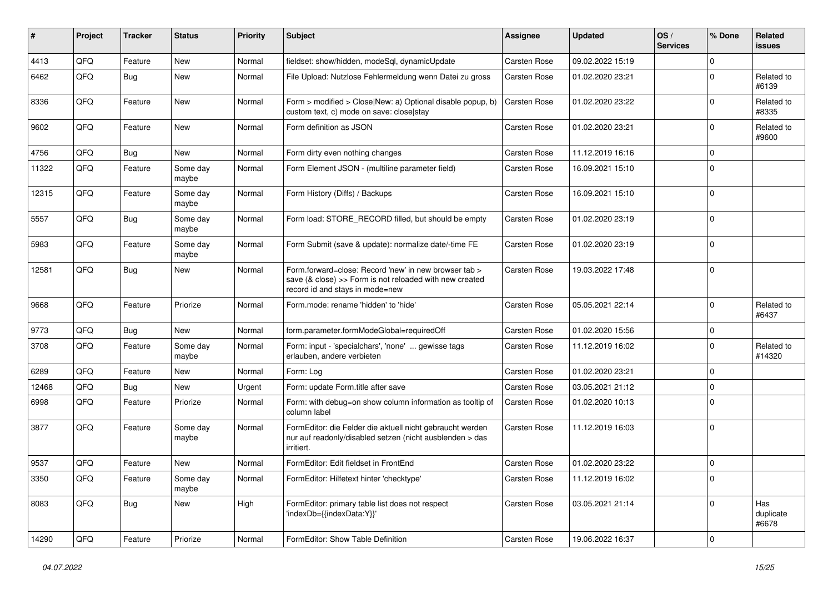| ∦     | Project | <b>Tracker</b> | <b>Status</b>     | <b>Priority</b> | Subject                                                                                                                                             | Assignee     | <b>Updated</b>   | OS/<br><b>Services</b> | % Done      | Related<br>issues         |
|-------|---------|----------------|-------------------|-----------------|-----------------------------------------------------------------------------------------------------------------------------------------------------|--------------|------------------|------------------------|-------------|---------------------------|
| 4413  | QFQ     | Feature        | <b>New</b>        | Normal          | fieldset: show/hidden, modeSql, dynamicUpdate                                                                                                       | Carsten Rose | 09.02.2022 15:19 |                        | $\Omega$    |                           |
| 6462  | QFQ     | Bug            | <b>New</b>        | Normal          | File Upload: Nutzlose Fehlermeldung wenn Datei zu gross                                                                                             | Carsten Rose | 01.02.2020 23:21 |                        | $\Omega$    | Related to<br>#6139       |
| 8336  | QFQ     | Feature        | <b>New</b>        | Normal          | Form > modified > Close New: a) Optional disable popup, b)<br>custom text, c) mode on save: close stay                                              | Carsten Rose | 01.02.2020 23:22 |                        | $\Omega$    | Related to<br>#8335       |
| 9602  | QFQ     | Feature        | <b>New</b>        | Normal          | Form definition as JSON                                                                                                                             | Carsten Rose | 01.02.2020 23:21 |                        | $\Omega$    | Related to<br>#9600       |
| 4756  | QFQ     | Bug            | New               | Normal          | Form dirty even nothing changes                                                                                                                     | Carsten Rose | 11.12.2019 16:16 |                        | $\Omega$    |                           |
| 11322 | QFQ     | Feature        | Some day<br>maybe | Normal          | Form Element JSON - (multiline parameter field)                                                                                                     | Carsten Rose | 16.09.2021 15:10 |                        | $\Omega$    |                           |
| 12315 | QFQ     | Feature        | Some day<br>maybe | Normal          | Form History (Diffs) / Backups                                                                                                                      | Carsten Rose | 16.09.2021 15:10 |                        | $\Omega$    |                           |
| 5557  | QFQ     | Bug            | Some day<br>maybe | Normal          | Form load: STORE_RECORD filled, but should be empty                                                                                                 | Carsten Rose | 01.02.2020 23:19 |                        | $\Omega$    |                           |
| 5983  | QFQ     | Feature        | Some day<br>maybe | Normal          | Form Submit (save & update): normalize date/-time FE                                                                                                | Carsten Rose | 01.02.2020 23:19 |                        | $\Omega$    |                           |
| 12581 | QFQ     | Bug            | <b>New</b>        | Normal          | Form.forward=close: Record 'new' in new browser tab ><br>save (& close) >> Form is not reloaded with new created<br>record id and stays in mode=new | Carsten Rose | 19.03.2022 17:48 |                        | 0           |                           |
| 9668  | QFQ     | Feature        | Priorize          | Normal          | Form.mode: rename 'hidden' to 'hide'                                                                                                                | Carsten Rose | 05.05.2021 22:14 |                        | $\Omega$    | Related to<br>#6437       |
| 9773  | QFQ     | Bug            | <b>New</b>        | Normal          | form.parameter.formModeGlobal=requiredOff                                                                                                           | Carsten Rose | 01.02.2020 15:56 |                        | $\mathbf 0$ |                           |
| 3708  | QFQ     | Feature        | Some day<br>maybe | Normal          | Form: input - 'specialchars', 'none'  gewisse tags<br>erlauben, andere verbieten                                                                    | Carsten Rose | 11.12.2019 16:02 |                        | $\Omega$    | Related to<br>#14320      |
| 6289  | QFQ     | Feature        | New               | Normal          | Form: Log                                                                                                                                           | Carsten Rose | 01.02.2020 23:21 |                        | $\Omega$    |                           |
| 12468 | QFQ     | Bug            | New               | Urgent          | Form: update Form.title after save                                                                                                                  | Carsten Rose | 03.05.2021 21:12 |                        | $\Omega$    |                           |
| 6998  | QFQ     | Feature        | Priorize          | Normal          | Form: with debug=on show column information as tooltip of<br>column label                                                                           | Carsten Rose | 01.02.2020 10:13 |                        | $\Omega$    |                           |
| 3877  | QFQ     | Feature        | Some day<br>maybe | Normal          | FormEditor: die Felder die aktuell nicht gebraucht werden<br>nur auf readonly/disabled setzen (nicht ausblenden > das<br>irritiert.                 | Carsten Rose | 11.12.2019 16:03 |                        | $\mathbf 0$ |                           |
| 9537  | QFQ     | Feature        | New               | Normal          | FormEditor: Edit fieldset in FrontEnd                                                                                                               | Carsten Rose | 01.02.2020 23:22 |                        | 0           |                           |
| 3350  | QFQ     | Feature        | Some day<br>maybe | Normal          | FormEditor: Hilfetext hinter 'checktype'                                                                                                            | Carsten Rose | 11.12.2019 16:02 |                        | 0           |                           |
| 8083  | QFQ     | Bug            | New               | High            | FormEditor: primary table list does not respect<br>'indexDb={{indexData:Y}}'                                                                        | Carsten Rose | 03.05.2021 21:14 |                        | $\mathbf 0$ | Has<br>duplicate<br>#6678 |
| 14290 | QFG     | Feature        | Priorize          | Normal          | FormEditor: Show Table Definition                                                                                                                   | Carsten Rose | 19.06.2022 16:37 |                        | 0           |                           |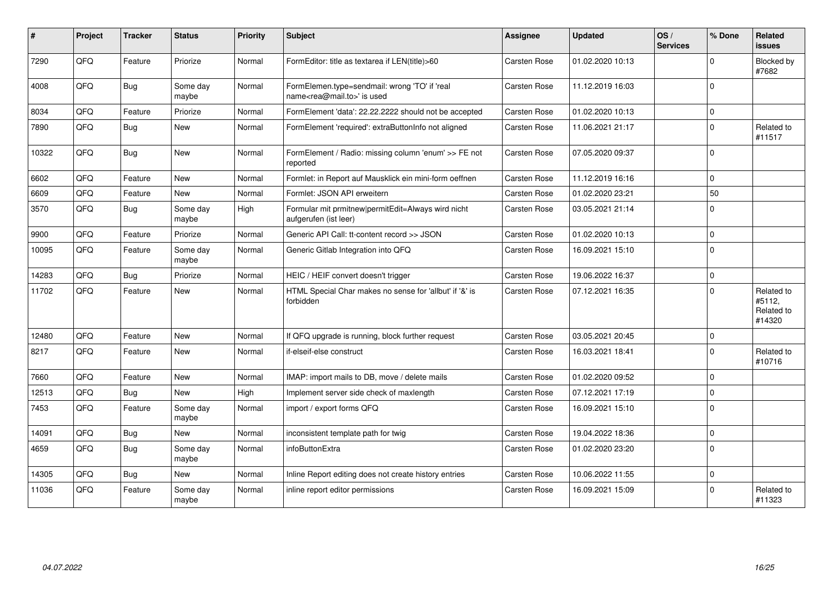| ∦     | Project | <b>Tracker</b> | <b>Status</b>     | Priority | Subject                                                                                    | Assignee            | <b>Updated</b>   | OS/<br><b>Services</b> | % Done      | Related<br><b>issues</b>                     |
|-------|---------|----------------|-------------------|----------|--------------------------------------------------------------------------------------------|---------------------|------------------|------------------------|-------------|----------------------------------------------|
| 7290  | QFQ     | Feature        | Priorize          | Normal   | FormEditor: title as textarea if LEN(title)>60                                             | Carsten Rose        | 01.02.2020 10:13 |                        | $\Omega$    | Blocked by<br>#7682                          |
| 4008  | QFQ     | <b>Bug</b>     | Some day<br>maybe | Normal   | FormElemen.type=sendmail: wrong 'TO' if 'real<br>name <rea@mail.to>' is used</rea@mail.to> | Carsten Rose        | 11.12.2019 16:03 |                        | $\Omega$    |                                              |
| 8034  | QFQ     | Feature        | Priorize          | Normal   | FormElement 'data': 22.22.2222 should not be accepted                                      | Carsten Rose        | 01.02.2020 10:13 |                        | $\Omega$    |                                              |
| 7890  | QFQ     | Bug            | <b>New</b>        | Normal   | FormElement 'required': extraButtonInfo not aligned                                        | Carsten Rose        | 11.06.2021 21:17 |                        | $\Omega$    | Related to<br>#11517                         |
| 10322 | QFQ     | Bug            | <b>New</b>        | Normal   | FormElement / Radio: missing column 'enum' >> FE not<br>reported                           | Carsten Rose        | 07.05.2020 09:37 |                        | $\Omega$    |                                              |
| 6602  | QFQ     | Feature        | New               | Normal   | Formlet: in Report auf Mausklick ein mini-form oeffnen                                     | Carsten Rose        | 11.12.2019 16:16 |                        | $\mathbf 0$ |                                              |
| 6609  | QFQ     | Feature        | <b>New</b>        | Normal   | Formlet: JSON API erweitern                                                                | Carsten Rose        | 01.02.2020 23:21 |                        | 50          |                                              |
| 3570  | QFQ     | <b>Bug</b>     | Some day<br>maybe | High     | Formular mit prmitnew permitEdit=Always wird nicht<br>aufgerufen (ist leer)                | <b>Carsten Rose</b> | 03.05.2021 21:14 |                        | $\Omega$    |                                              |
| 9900  | QFQ     | Feature        | Priorize          | Normal   | Generic API Call: tt-content record >> JSON                                                | Carsten Rose        | 01.02.2020 10:13 |                        | $\Omega$    |                                              |
| 10095 | QFQ     | Feature        | Some day<br>maybe | Normal   | Generic Gitlab Integration into QFQ                                                        | Carsten Rose        | 16.09.2021 15:10 |                        | $\Omega$    |                                              |
| 14283 | QFQ     | Bug            | Priorize          | Normal   | HEIC / HEIF convert doesn't trigger                                                        | Carsten Rose        | 19.06.2022 16:37 |                        | $\mathbf 0$ |                                              |
| 11702 | QFQ     | Feature        | <b>New</b>        | Normal   | HTML Special Char makes no sense for 'allbut' if '&' is<br>forbidden                       | <b>Carsten Rose</b> | 07.12.2021 16:35 |                        | $\Omega$    | Related to<br>#5112.<br>Related to<br>#14320 |
| 12480 | QFQ     | Feature        | <b>New</b>        | Normal   | If QFQ upgrade is running, block further request                                           | <b>Carsten Rose</b> | 03.05.2021 20:45 |                        | $\Omega$    |                                              |
| 8217  | QFQ     | Feature        | <b>New</b>        | Normal   | if-elseif-else construct                                                                   | <b>Carsten Rose</b> | 16.03.2021 18:41 |                        | $\Omega$    | Related to<br>#10716                         |
| 7660  | QFQ     | Feature        | <b>New</b>        | Normal   | IMAP: import mails to DB, move / delete mails                                              | Carsten Rose        | 01.02.2020 09:52 |                        | $\mathbf 0$ |                                              |
| 12513 | QFQ     | <b>Bug</b>     | <b>New</b>        | High     | Implement server side check of maxlength                                                   | <b>Carsten Rose</b> | 07.12.2021 17:19 |                        | $\Omega$    |                                              |
| 7453  | QFQ     | Feature        | Some day<br>maybe | Normal   | import / export forms QFQ                                                                  | <b>Carsten Rose</b> | 16.09.2021 15:10 |                        | $\Omega$    |                                              |
| 14091 | QFQ     | <b>Bug</b>     | New               | Normal   | inconsistent template path for twig                                                        | Carsten Rose        | 19.04.2022 18:36 |                        | $\Omega$    |                                              |
| 4659  | QFQ     | Bug            | Some day<br>maybe | Normal   | infoButtonExtra                                                                            | Carsten Rose        | 01.02.2020 23:20 |                        | $\mathbf 0$ |                                              |
| 14305 | QFQ     | Bug            | <b>New</b>        | Normal   | Inline Report editing does not create history entries                                      | Carsten Rose        | 10.06.2022 11:55 |                        | $\mathbf 0$ |                                              |
| 11036 | QFQ     | Feature        | Some day<br>maybe | Normal   | inline report editor permissions                                                           | <b>Carsten Rose</b> | 16.09.2021 15:09 |                        | $\Omega$    | Related to<br>#11323                         |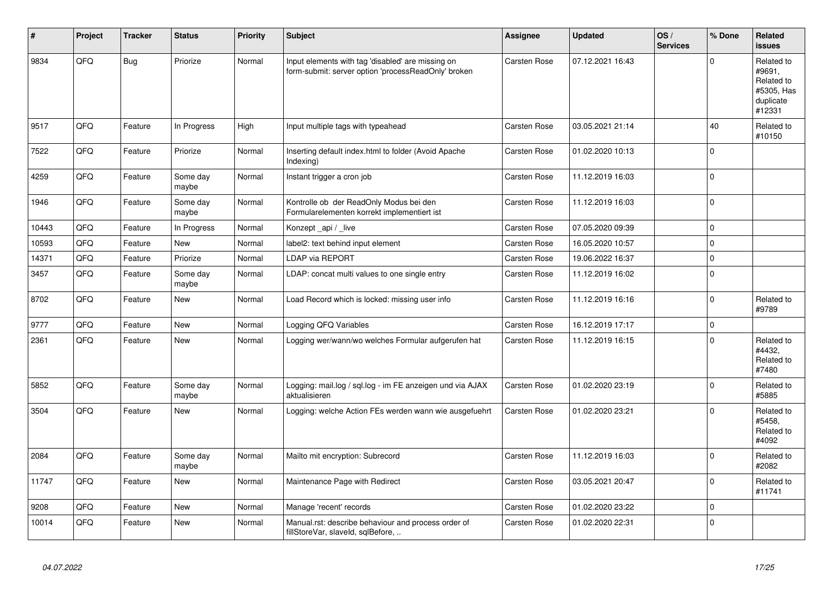| #     | Project | <b>Tracker</b> | <b>Status</b>     | <b>Priority</b> | <b>Subject</b>                                                                                           | Assignee            | <b>Updated</b>   | OS/<br><b>Services</b> | % Done      | Related<br>issues                                                       |
|-------|---------|----------------|-------------------|-----------------|----------------------------------------------------------------------------------------------------------|---------------------|------------------|------------------------|-------------|-------------------------------------------------------------------------|
| 9834  | QFQ     | <b>Bug</b>     | Priorize          | Normal          | Input elements with tag 'disabled' are missing on<br>form-submit: server option 'processReadOnly' broken | <b>Carsten Rose</b> | 07.12.2021 16:43 |                        | $\Omega$    | Related to<br>#9691,<br>Related to<br>#5305, Has<br>duplicate<br>#12331 |
| 9517  | QFQ     | Feature        | In Progress       | High            | Input multiple tags with typeahead                                                                       | Carsten Rose        | 03.05.2021 21:14 |                        | 40          | Related to<br>#10150                                                    |
| 7522  | QFQ     | Feature        | Priorize          | Normal          | Inserting default index.html to folder (Avoid Apache<br>Indexing)                                        | <b>Carsten Rose</b> | 01.02.2020 10:13 |                        | $\Omega$    |                                                                         |
| 4259  | QFQ     | Feature        | Some day<br>maybe | Normal          | Instant trigger a cron job                                                                               | <b>Carsten Rose</b> | 11.12.2019 16:03 |                        | $\Omega$    |                                                                         |
| 1946  | QFQ     | Feature        | Some day<br>maybe | Normal          | Kontrolle ob der ReadOnly Modus bei den<br>Formularelementen korrekt implementiert ist                   | Carsten Rose        | 11.12.2019 16:03 |                        | $\Omega$    |                                                                         |
| 10443 | QFQ     | Feature        | In Progress       | Normal          | Konzept_api / _live                                                                                      | Carsten Rose        | 07.05.2020 09:39 |                        | $\mathbf 0$ |                                                                         |
| 10593 | QFQ     | Feature        | <b>New</b>        | Normal          | label2: text behind input element                                                                        | Carsten Rose        | 16.05.2020 10:57 |                        | $\mathbf 0$ |                                                                         |
| 14371 | QFQ     | Feature        | Priorize          | Normal          | <b>LDAP via REPORT</b>                                                                                   | <b>Carsten Rose</b> | 19.06.2022 16:37 |                        | $\mathbf 0$ |                                                                         |
| 3457  | QFQ     | Feature        | Some day<br>maybe | Normal          | LDAP: concat multi values to one single entry                                                            | Carsten Rose        | 11.12.2019 16:02 |                        | $\mathbf 0$ |                                                                         |
| 8702  | QFQ     | Feature        | <b>New</b>        | Normal          | Load Record which is locked: missing user info                                                           | Carsten Rose        | 11.12.2019 16:16 |                        | $\mathbf 0$ | Related to<br>#9789                                                     |
| 9777  | QFQ     | Feature        | <b>New</b>        | Normal          | Logging QFQ Variables                                                                                    | Carsten Rose        | 16.12.2019 17:17 |                        | $\mathbf 0$ |                                                                         |
| 2361  | QFQ     | Feature        | <b>New</b>        | Normal          | Logging wer/wann/wo welches Formular aufgerufen hat                                                      | <b>Carsten Rose</b> | 11.12.2019 16:15 |                        | $\Omega$    | Related to<br>#4432,<br>Related to<br>#7480                             |
| 5852  | QFQ     | Feature        | Some day<br>maybe | Normal          | Logging: mail.log / sql.log - im FE anzeigen und via AJAX<br>aktualisieren                               | <b>Carsten Rose</b> | 01.02.2020 23:19 |                        | $\Omega$    | Related to<br>#5885                                                     |
| 3504  | QFQ     | Feature        | <b>New</b>        | Normal          | Logging: welche Action FEs werden wann wie ausgefuehrt                                                   | Carsten Rose        | 01.02.2020 23:21 |                        | $\Omega$    | Related to<br>#5458,<br>Related to<br>#4092                             |
| 2084  | QFQ     | Feature        | Some day<br>maybe | Normal          | Mailto mit encryption: Subrecord                                                                         | Carsten Rose        | 11.12.2019 16:03 |                        | $\mathbf 0$ | Related to<br>#2082                                                     |
| 11747 | QFQ     | Feature        | <b>New</b>        | Normal          | Maintenance Page with Redirect                                                                           | <b>Carsten Rose</b> | 03.05.2021 20:47 |                        | $\Omega$    | Related to<br>#11741                                                    |
| 9208  | QFQ     | Feature        | <b>New</b>        | Normal          | Manage 'recent' records                                                                                  | <b>Carsten Rose</b> | 01.02.2020 23:22 |                        | $\Omega$    |                                                                         |
| 10014 | QFQ     | Feature        | New               | Normal          | Manual.rst: describe behaviour and process order of<br>fillStoreVar, slaveId, sqlBefore,                 | Carsten Rose        | 01.02.2020 22:31 |                        | $\Omega$    |                                                                         |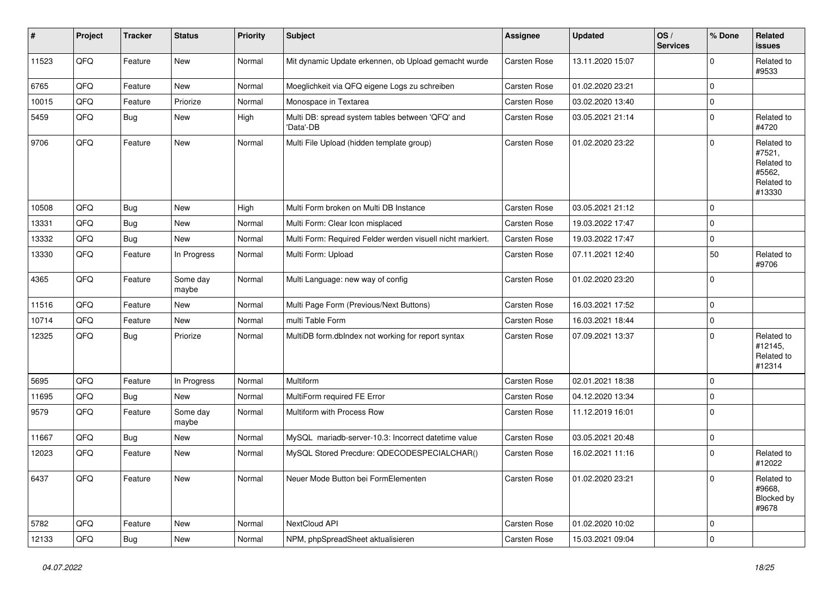| $\vert$ # | Project | <b>Tracker</b> | <b>Status</b>     | <b>Priority</b> | <b>Subject</b>                                                | <b>Assignee</b> | <b>Updated</b>   | OS/<br><b>Services</b> | % Done      | Related<br>issues                                                    |
|-----------|---------|----------------|-------------------|-----------------|---------------------------------------------------------------|-----------------|------------------|------------------------|-------------|----------------------------------------------------------------------|
| 11523     | QFQ     | Feature        | <b>New</b>        | Normal          | Mit dynamic Update erkennen, ob Upload gemacht wurde          | Carsten Rose    | 13.11.2020 15:07 |                        | $\Omega$    | Related to<br>#9533                                                  |
| 6765      | QFQ     | Feature        | New               | Normal          | Moeglichkeit via QFQ eigene Logs zu schreiben                 | Carsten Rose    | 01.02.2020 23:21 |                        | 0           |                                                                      |
| 10015     | QFQ     | Feature        | Priorize          | Normal          | Monospace in Textarea                                         | Carsten Rose    | 03.02.2020 13:40 |                        | $\mathbf 0$ |                                                                      |
| 5459      | QFQ     | <b>Bug</b>     | New               | High            | Multi DB: spread system tables between 'QFQ' and<br>'Data'-DB | Carsten Rose    | 03.05.2021 21:14 |                        | $\Omega$    | Related to<br>#4720                                                  |
| 9706      | QFQ     | Feature        | <b>New</b>        | Normal          | Multi File Upload (hidden template group)                     | Carsten Rose    | 01.02.2020 23:22 |                        | $\mathbf 0$ | Related to<br>#7521,<br>Related to<br>#5562,<br>Related to<br>#13330 |
| 10508     | QFQ     | Bug            | New               | High            | Multi Form broken on Multi DB Instance                        | Carsten Rose    | 03.05.2021 21:12 |                        | $\mathbf 0$ |                                                                      |
| 13331     | QFQ     | <b>Bug</b>     | New               | Normal          | Multi Form: Clear Icon misplaced                              | Carsten Rose    | 19.03.2022 17:47 |                        | $\Omega$    |                                                                      |
| 13332     | QFQ     | Bug            | New               | Normal          | Multi Form: Required Felder werden visuell nicht markiert.    | Carsten Rose    | 19.03.2022 17:47 |                        | $\mathbf 0$ |                                                                      |
| 13330     | QFQ     | Feature        | In Progress       | Normal          | Multi Form: Upload                                            | Carsten Rose    | 07.11.2021 12:40 |                        | 50          | Related to<br>#9706                                                  |
| 4365      | QFQ     | Feature        | Some day<br>maybe | Normal          | Multi Language: new way of config                             | Carsten Rose    | 01.02.2020 23:20 |                        | $\mathbf 0$ |                                                                      |
| 11516     | QFQ     | Feature        | <b>New</b>        | Normal          | Multi Page Form (Previous/Next Buttons)                       | Carsten Rose    | 16.03.2021 17:52 |                        | $\mathbf 0$ |                                                                      |
| 10714     | QFQ     | Feature        | New               | Normal          | multi Table Form                                              | Carsten Rose    | 16.03.2021 18:44 |                        | $\mathbf 0$ |                                                                      |
| 12325     | QFQ     | Bug            | Priorize          | Normal          | MultiDB form.dblndex not working for report syntax            | Carsten Rose    | 07.09.2021 13:37 |                        | $\mathbf 0$ | Related to<br>#12145,<br>Related to<br>#12314                        |
| 5695      | QFQ     | Feature        | In Progress       | Normal          | Multiform                                                     | Carsten Rose    | 02.01.2021 18:38 |                        | $\mathbf 0$ |                                                                      |
| 11695     | QFG     | Bug            | New               | Normal          | MultiForm required FE Error                                   | Carsten Rose    | 04.12.2020 13:34 |                        | $\mathbf 0$ |                                                                      |
| 9579      | QFQ     | Feature        | Some day<br>maybe | Normal          | Multiform with Process Row                                    | Carsten Rose    | 11.12.2019 16:01 |                        | $\Omega$    |                                                                      |
| 11667     | QFQ     | Bug            | New               | Normal          | MySQL mariadb-server-10.3: Incorrect datetime value           | Carsten Rose    | 03.05.2021 20:48 |                        | $\mathbf 0$ |                                                                      |
| 12023     | QFQ     | Feature        | New               | Normal          | MySQL Stored Precdure: QDECODESPECIALCHAR()                   | Carsten Rose    | 16.02.2021 11:16 |                        | $\Omega$    | Related to<br>#12022                                                 |
| 6437      | QFQ     | Feature        | New               | Normal          | Neuer Mode Button bei FormElementen                           | Carsten Rose    | 01.02.2020 23:21 |                        | $\pmb{0}$   | Related to<br>#9668,<br>Blocked by<br>#9678                          |
| 5782      | QFQ     | Feature        | New               | Normal          | NextCloud API                                                 | Carsten Rose    | 01.02.2020 10:02 |                        | $\mathbf 0$ |                                                                      |
| 12133     | QFQ     | <b>Bug</b>     | New               | Normal          | NPM, phpSpreadSheet aktualisieren                             | Carsten Rose    | 15.03.2021 09:04 |                        | $\pmb{0}$   |                                                                      |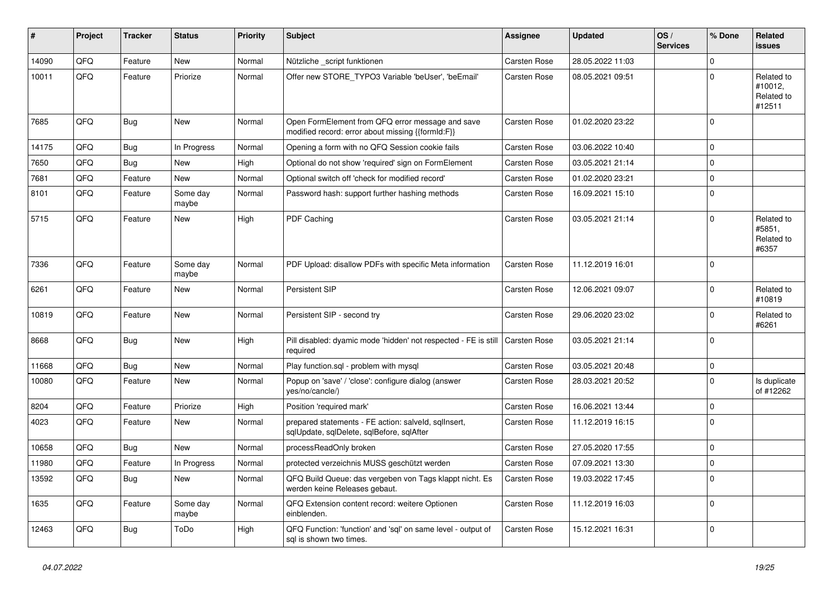| #     | Project | <b>Tracker</b> | <b>Status</b>     | <b>Priority</b> | <b>Subject</b>                                                                                        | Assignee            | <b>Updated</b>   | OS/<br><b>Services</b> | % Done      | Related<br><b>issues</b>                      |
|-------|---------|----------------|-------------------|-----------------|-------------------------------------------------------------------------------------------------------|---------------------|------------------|------------------------|-------------|-----------------------------------------------|
| 14090 | QFQ     | Feature        | New               | Normal          | Nützliche _script funktionen                                                                          | Carsten Rose        | 28.05.2022 11:03 |                        | $\mathbf 0$ |                                               |
| 10011 | QFQ     | Feature        | Priorize          | Normal          | Offer new STORE_TYPO3 Variable 'beUser', 'beEmail'                                                    | Carsten Rose        | 08.05.2021 09:51 |                        | $\mathbf 0$ | Related to<br>#10012,<br>Related to<br>#12511 |
| 7685  | QFQ     | <b>Bug</b>     | <b>New</b>        | Normal          | Open FormElement from QFQ error message and save<br>modified record: error about missing {{formId:F}} | Carsten Rose        | 01.02.2020 23:22 |                        | $\mathbf 0$ |                                               |
| 14175 | QFQ     | <b>Bug</b>     | In Progress       | Normal          | Opening a form with no QFQ Session cookie fails                                                       | <b>Carsten Rose</b> | 03.06.2022 10:40 |                        | $\mathbf 0$ |                                               |
| 7650  | QFQ     | Bug            | New               | High            | Optional do not show 'required' sign on FormElement                                                   | Carsten Rose        | 03.05.2021 21:14 |                        | $\mathbf 0$ |                                               |
| 7681  | QFQ     | Feature        | New               | Normal          | Optional switch off 'check for modified record'                                                       | <b>Carsten Rose</b> | 01.02.2020 23:21 |                        | $\pmb{0}$   |                                               |
| 8101  | QFQ     | Feature        | Some day<br>maybe | Normal          | Password hash: support further hashing methods                                                        | Carsten Rose        | 16.09.2021 15:10 |                        | $\mathbf 0$ |                                               |
| 5715  | QFQ     | Feature        | New               | High            | PDF Caching                                                                                           | Carsten Rose        | 03.05.2021 21:14 |                        | $\mathbf 0$ | Related to<br>#5851,<br>Related to<br>#6357   |
| 7336  | QFQ     | Feature        | Some day<br>maybe | Normal          | PDF Upload: disallow PDFs with specific Meta information                                              | <b>Carsten Rose</b> | 11.12.2019 16:01 |                        | $\mathbf 0$ |                                               |
| 6261  | QFQ     | Feature        | <b>New</b>        | Normal          | Persistent SIP                                                                                        | Carsten Rose        | 12.06.2021 09:07 |                        | $\mathbf 0$ | Related to<br>#10819                          |
| 10819 | QFQ     | Feature        | New               | Normal          | Persistent SIP - second try                                                                           | Carsten Rose        | 29.06.2020 23:02 |                        | $\mathbf 0$ | Related to<br>#6261                           |
| 8668  | QFQ     | Bug            | <b>New</b>        | High            | Pill disabled: dyamic mode 'hidden' not respected - FE is still<br>required                           | Carsten Rose        | 03.05.2021 21:14 |                        | $\Omega$    |                                               |
| 11668 | QFQ     | <b>Bug</b>     | <b>New</b>        | Normal          | Play function.sql - problem with mysql                                                                | <b>Carsten Rose</b> | 03.05.2021 20:48 |                        | $\mathbf 0$ |                                               |
| 10080 | QFQ     | Feature        | <b>New</b>        | Normal          | Popup on 'save' / 'close': configure dialog (answer<br>yes/no/cancle/)                                | <b>Carsten Rose</b> | 28.03.2021 20:52 |                        | $\Omega$    | Is duplicate<br>of #12262                     |
| 8204  | QFQ     | Feature        | Priorize          | High            | Position 'required mark'                                                                              | <b>Carsten Rose</b> | 16.06.2021 13:44 |                        | $\pmb{0}$   |                                               |
| 4023  | QFQ     | Feature        | New               | Normal          | prepared statements - FE action: salveld, sqllnsert,<br>sqlUpdate, sqlDelete, sqlBefore, sqlAfter     | Carsten Rose        | 11.12.2019 16:15 |                        | $\mathbf 0$ |                                               |
| 10658 | QFQ     | <b>Bug</b>     | New               | Normal          | processReadOnly broken                                                                                | Carsten Rose        | 27.05.2020 17:55 |                        | $\pmb{0}$   |                                               |
| 11980 | QFQ     | Feature        | In Progress       | Normal          | protected verzeichnis MUSS geschützt werden                                                           | <b>Carsten Rose</b> | 07.09.2021 13:30 |                        | $\pmb{0}$   |                                               |
| 13592 | QFQ     | Bug            | <b>New</b>        | Normal          | QFQ Build Queue: das vergeben von Tags klappt nicht. Es<br>werden keine Releases gebaut.              | Carsten Rose        | 19.03.2022 17:45 |                        | $\mathbf 0$ |                                               |
| 1635  | QFQ     | Feature        | Some day<br>maybe | Normal          | QFQ Extension content record: weitere Optionen<br>einblenden.                                         | <b>Carsten Rose</b> | 11.12.2019 16:03 |                        | $\Omega$    |                                               |
| 12463 | QFQ     | <b>Bug</b>     | ToDo              | High            | QFQ Function: 'function' and 'sql' on same level - output of<br>sal is shown two times.               | <b>Carsten Rose</b> | 15.12.2021 16:31 |                        | $\mathbf 0$ |                                               |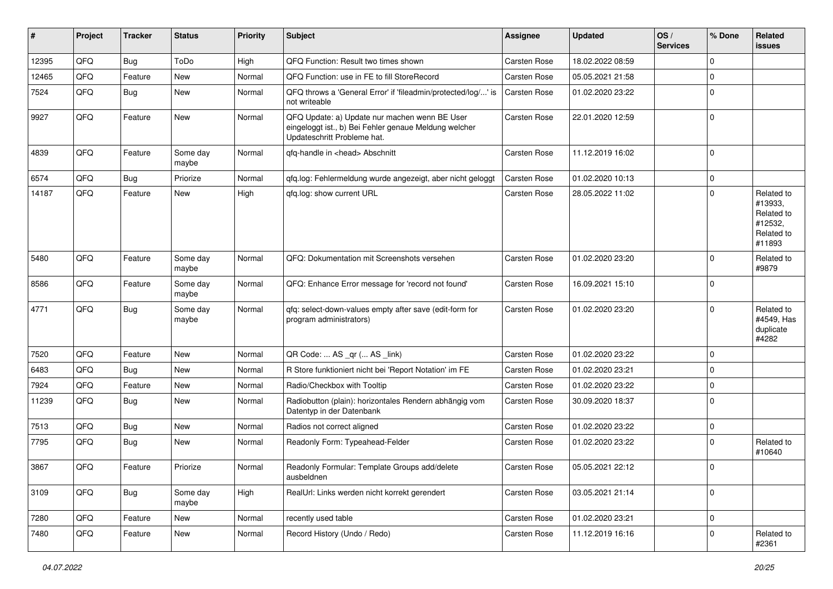| ∦     | Project | <b>Tracker</b> | <b>Status</b>     | <b>Priority</b> | Subject                                                                                                                               | Assignee            | <b>Updated</b>   | OS/<br><b>Services</b> | % Done      | Related<br>issues                                                      |
|-------|---------|----------------|-------------------|-----------------|---------------------------------------------------------------------------------------------------------------------------------------|---------------------|------------------|------------------------|-------------|------------------------------------------------------------------------|
| 12395 | QFQ     | Bug            | ToDo              | High            | QFQ Function: Result two times shown                                                                                                  | Carsten Rose        | 18.02.2022 08:59 |                        | $\Omega$    |                                                                        |
| 12465 | QFQ     | Feature        | New               | Normal          | QFQ Function: use in FE to fill StoreRecord                                                                                           | Carsten Rose        | 05.05.2021 21:58 |                        | $\Omega$    |                                                                        |
| 7524  | QFQ     | Bug            | New               | Normal          | QFQ throws a 'General Error' if 'fileadmin/protected/log/' is<br>not writeable                                                        | <b>Carsten Rose</b> | 01.02.2020 23:22 |                        | $\mathbf 0$ |                                                                        |
| 9927  | QFQ     | Feature        | New               | Normal          | QFQ Update: a) Update nur machen wenn BE User<br>eingeloggt ist., b) Bei Fehler genaue Meldung welcher<br>Updateschritt Probleme hat. | Carsten Rose        | 22.01.2020 12:59 |                        | $\Omega$    |                                                                        |
| 4839  | QFQ     | Feature        | Some day<br>maybe | Normal          | qfq-handle in <head> Abschnitt</head>                                                                                                 | Carsten Rose        | 11.12.2019 16:02 |                        | $\Omega$    |                                                                        |
| 6574  | QFQ     | Bug            | Priorize          | Normal          | qfq.log: Fehlermeldung wurde angezeigt, aber nicht geloggt                                                                            | Carsten Rose        | 01.02.2020 10:13 |                        | $\mathbf 0$ |                                                                        |
| 14187 | QFQ     | Feature        | New               | High            | gfg.log: show current URL                                                                                                             | Carsten Rose        | 28.05.2022 11:02 |                        | $\mathbf 0$ | Related to<br>#13933.<br>Related to<br>#12532,<br>Related to<br>#11893 |
| 5480  | QFQ     | Feature        | Some day<br>maybe | Normal          | QFQ: Dokumentation mit Screenshots versehen                                                                                           | Carsten Rose        | 01.02.2020 23:20 |                        | $\Omega$    | Related to<br>#9879                                                    |
| 8586  | QFQ     | Feature        | Some day<br>maybe | Normal          | QFQ: Enhance Error message for 'record not found'                                                                                     | Carsten Rose        | 16.09.2021 15:10 |                        | $\Omega$    |                                                                        |
| 4771  | QFQ     | Bug            | Some day<br>maybe | Normal          | qfq: select-down-values empty after save (edit-form for<br>program administrators)                                                    | Carsten Rose        | 01.02.2020 23:20 |                        | $\Omega$    | Related to<br>#4549, Has<br>duplicate<br>#4282                         |
| 7520  | QFQ     | Feature        | New               | Normal          | QR Code:  AS _qr ( AS _link)                                                                                                          | Carsten Rose        | 01.02.2020 23:22 |                        | $\Omega$    |                                                                        |
| 6483  | QFQ     | Bug            | <b>New</b>        | Normal          | R Store funktioniert nicht bei 'Report Notation' im FE                                                                                | Carsten Rose        | 01.02.2020 23:21 |                        | $\Omega$    |                                                                        |
| 7924  | QFQ     | Feature        | New               | Normal          | Radio/Checkbox with Tooltip                                                                                                           | Carsten Rose        | 01.02.2020 23:22 |                        | $\mathbf 0$ |                                                                        |
| 11239 | QFQ     | <b>Bug</b>     | <b>New</b>        | Normal          | Radiobutton (plain): horizontales Rendern abhängig vom<br>Datentyp in der Datenbank                                                   | Carsten Rose        | 30.09.2020 18:37 |                        | $\Omega$    |                                                                        |
| 7513  | QFQ     | Bug            | New               | Normal          | Radios not correct aligned                                                                                                            | Carsten Rose        | 01.02.2020 23:22 |                        | $\mathbf 0$ |                                                                        |
| 7795  | QFQ     | <b>Bug</b>     | New               | Normal          | Readonly Form: Typeahead-Felder                                                                                                       | Carsten Rose        | 01.02.2020 23:22 |                        | $\mathbf 0$ | Related to<br>#10640                                                   |
| 3867  | QFQ     | Feature        | Priorize          | Normal          | Readonly Formular: Template Groups add/delete<br>ausbeldnen                                                                           | Carsten Rose        | 05.05.2021 22:12 |                        | 0           |                                                                        |
| 3109  | QFQ     | Bug            | Some day<br>maybe | High            | RealUrl: Links werden nicht korrekt gerendert                                                                                         | Carsten Rose        | 03.05.2021 21:14 |                        | $\mathbf 0$ |                                                                        |
| 7280  | QFQ     | Feature        | New               | Normal          | recently used table                                                                                                                   | Carsten Rose        | 01.02.2020 23:21 |                        | $\mathbf 0$ |                                                                        |
| 7480  | QFQ     | Feature        | New               | Normal          | Record History (Undo / Redo)                                                                                                          | Carsten Rose        | 11.12.2019 16:16 |                        | 0           | Related to<br>#2361                                                    |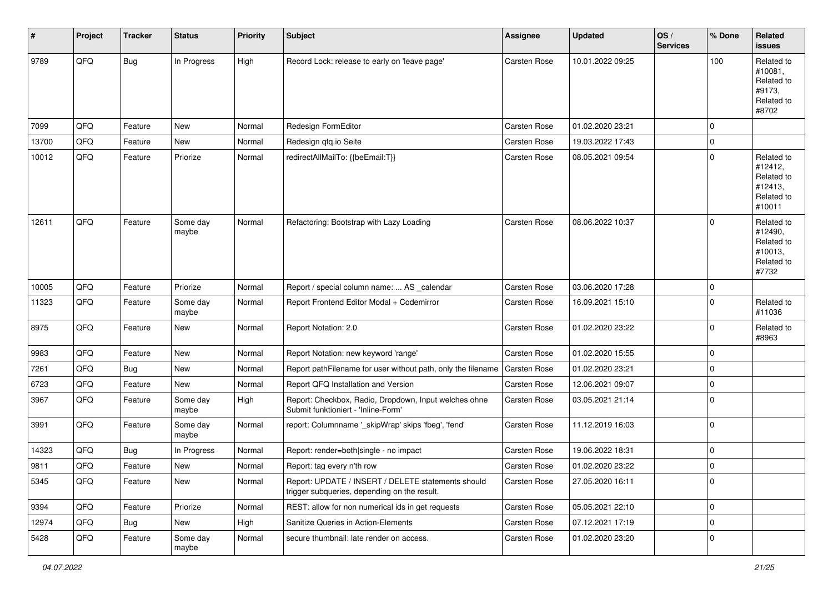| #     | Project | <b>Tracker</b> | <b>Status</b>     | <b>Priority</b> | Subject                                                                                            | <b>Assignee</b>     | <b>Updated</b>   | OS/<br><b>Services</b> | % Done      | Related<br>issues                                                      |
|-------|---------|----------------|-------------------|-----------------|----------------------------------------------------------------------------------------------------|---------------------|------------------|------------------------|-------------|------------------------------------------------------------------------|
| 9789  | QFQ     | Bug            | In Progress       | High            | Record Lock: release to early on 'leave page'                                                      | Carsten Rose        | 10.01.2022 09:25 |                        | 100         | Related to<br>#10081,<br>Related to<br>#9173.<br>Related to<br>#8702   |
| 7099  | QFQ     | Feature        | <b>New</b>        | Normal          | Redesign FormEditor                                                                                | <b>Carsten Rose</b> | 01.02.2020 23:21 |                        | $\Omega$    |                                                                        |
| 13700 | QFQ     | Feature        | New               | Normal          | Redesign gfg.io Seite                                                                              | Carsten Rose        | 19.03.2022 17:43 |                        | $\mathbf 0$ |                                                                        |
| 10012 | QFQ     | Feature        | Priorize          | Normal          | redirectAllMailTo: {{beEmail:T}}                                                                   | Carsten Rose        | 08.05.2021 09:54 |                        | $\Omega$    | Related to<br>#12412,<br>Related to<br>#12413,<br>Related to<br>#10011 |
| 12611 | QFQ     | Feature        | Some day<br>maybe | Normal          | Refactoring: Bootstrap with Lazy Loading                                                           | <b>Carsten Rose</b> | 08.06.2022 10:37 |                        | $\Omega$    | Related to<br>#12490,<br>Related to<br>#10013,<br>Related to<br>#7732  |
| 10005 | QFQ     | Feature        | Priorize          | Normal          | Report / special column name:  AS _calendar                                                        | <b>Carsten Rose</b> | 03.06.2020 17:28 |                        | $\mathbf 0$ |                                                                        |
| 11323 | QFQ     | Feature        | Some day<br>maybe | Normal          | Report Frontend Editor Modal + Codemirror                                                          | Carsten Rose        | 16.09.2021 15:10 |                        | $\Omega$    | Related to<br>#11036                                                   |
| 8975  | QFQ     | Feature        | <b>New</b>        | Normal          | Report Notation: 2.0                                                                               | Carsten Rose        | 01.02.2020 23:22 |                        | $\Omega$    | Related to<br>#8963                                                    |
| 9983  | QFQ     | Feature        | <b>New</b>        | Normal          | Report Notation: new keyword 'range'                                                               | Carsten Rose        | 01.02.2020 15:55 |                        | $\Omega$    |                                                                        |
| 7261  | QFQ     | Bug            | <b>New</b>        | Normal          | Report pathFilename for user without path, only the filename                                       | Carsten Rose        | 01.02.2020 23:21 |                        | $\Omega$    |                                                                        |
| 6723  | QFQ     | Feature        | <b>New</b>        | Normal          | Report QFQ Installation and Version                                                                | Carsten Rose        | 12.06.2021 09:07 |                        | $\Omega$    |                                                                        |
| 3967  | QFQ     | Feature        | Some day<br>maybe | High            | Report: Checkbox, Radio, Dropdown, Input welches ohne<br>Submit funktioniert - 'Inline-Form'       | Carsten Rose        | 03.05.2021 21:14 |                        | $\Omega$    |                                                                        |
| 3991  | QFQ     | Feature        | Some day<br>maybe | Normal          | report: Columnname '_skipWrap' skips 'fbeg', 'fend'                                                | Carsten Rose        | 11.12.2019 16:03 |                        | $\Omega$    |                                                                        |
| 14323 | QFQ     | Bug            | In Progress       | Normal          | Report: render=both single - no impact                                                             | Carsten Rose        | 19.06.2022 18:31 |                        | $\mathbf 0$ |                                                                        |
| 9811  | QFQ     | Feature        | New               | Normal          | Report: tag every n'th row                                                                         | <b>Carsten Rose</b> | 01.02.2020 23:22 |                        | $\mathbf 0$ |                                                                        |
| 5345  | QFQ     | Feature        | New               | Normal          | Report: UPDATE / INSERT / DELETE statements should<br>trigger subqueries, depending on the result. | Carsten Rose        | 27.05.2020 16:11 |                        | 0           |                                                                        |
| 9394  | QFQ     | Feature        | Priorize          | Normal          | REST: allow for non numerical ids in get requests                                                  | Carsten Rose        | 05.05.2021 22:10 |                        | $\mathbf 0$ |                                                                        |
| 12974 | QFQ     | <b>Bug</b>     | New               | High            | Sanitize Queries in Action-Elements                                                                | Carsten Rose        | 07.12.2021 17:19 |                        | 0           |                                                                        |
| 5428  | QFQ     | Feature        | Some day<br>maybe | Normal          | secure thumbnail: late render on access.                                                           | Carsten Rose        | 01.02.2020 23:20 |                        | $\mathbf 0$ |                                                                        |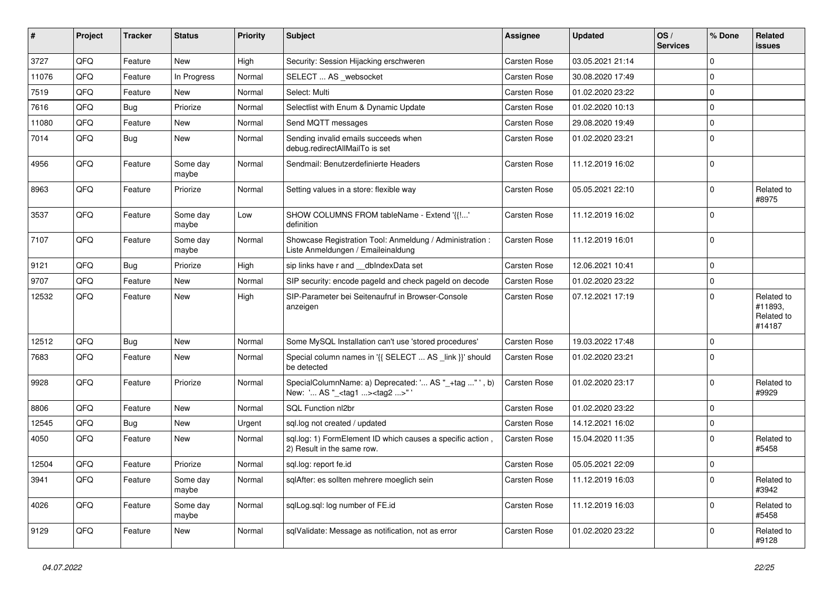| $\vert$ # | Project | <b>Tracker</b> | <b>Status</b>     | <b>Priority</b> | Subject                                                                                            | Assignee     | <b>Updated</b>   | OS/<br><b>Services</b> | % Done      | Related<br>issues                             |
|-----------|---------|----------------|-------------------|-----------------|----------------------------------------------------------------------------------------------------|--------------|------------------|------------------------|-------------|-----------------------------------------------|
| 3727      | QFQ     | Feature        | <b>New</b>        | High            | Security: Session Hijacking erschweren                                                             | Carsten Rose | 03.05.2021 21:14 |                        | $\mathbf 0$ |                                               |
| 11076     | QFQ     | Feature        | In Progress       | Normal          | SELECT  AS _websocket                                                                              | Carsten Rose | 30.08.2020 17:49 |                        | 0           |                                               |
| 7519      | QFQ     | Feature        | New               | Normal          | Select: Multi                                                                                      | Carsten Rose | 01.02.2020 23:22 |                        | $\mathbf 0$ |                                               |
| 7616      | QFQ     | Bug            | Priorize          | Normal          | Selectlist with Enum & Dynamic Update                                                              | Carsten Rose | 01.02.2020 10:13 |                        | $\mathbf 0$ |                                               |
| 11080     | QFQ     | Feature        | New               | Normal          | Send MQTT messages                                                                                 | Carsten Rose | 29.08.2020 19:49 |                        | $\mathbf 0$ |                                               |
| 7014      | QFQ     | <b>Bug</b>     | <b>New</b>        | Normal          | Sending invalid emails succeeds when<br>debug.redirectAllMailTo is set                             | Carsten Rose | 01.02.2020 23:21 |                        | $\Omega$    |                                               |
| 4956      | QFQ     | Feature        | Some day<br>maybe | Normal          | Sendmail: Benutzerdefinierte Headers                                                               | Carsten Rose | 11.12.2019 16:02 |                        | $\Omega$    |                                               |
| 8963      | QFQ     | Feature        | Priorize          | Normal          | Setting values in a store: flexible way                                                            | Carsten Rose | 05.05.2021 22:10 |                        | $\mathbf 0$ | Related to<br>#8975                           |
| 3537      | QFQ     | Feature        | Some day<br>maybe | Low             | SHOW COLUMNS FROM tableName - Extend '{{!'<br>definition                                           | Carsten Rose | 11.12.2019 16:02 |                        | 0           |                                               |
| 7107      | QFQ     | Feature        | Some day<br>maybe | Normal          | Showcase Registration Tool: Anmeldung / Administration :<br>Liste Anmeldungen / Emaileinaldung     | Carsten Rose | 11.12.2019 16:01 |                        | 0           |                                               |
| 9121      | QFQ     | Bug            | Priorize          | High            | sip links have r and __dbIndexData set                                                             | Carsten Rose | 12.06.2021 10:41 |                        | $\Omega$    |                                               |
| 9707      | QFQ     | Feature        | <b>New</b>        | Normal          | SIP security: encode pageld and check pageld on decode                                             | Carsten Rose | 01.02.2020 23:22 |                        | $\mathbf 0$ |                                               |
| 12532     | QFQ     | Feature        | New               | High            | SIP-Parameter bei Seitenaufruf in Browser-Console<br>anzeigen                                      | Carsten Rose | 07.12.2021 17:19 |                        | $\mathbf 0$ | Related to<br>#11893,<br>Related to<br>#14187 |
| 12512     | QFQ     | Bug            | <b>New</b>        | Normal          | Some MySQL Installation can't use 'stored procedures'                                              | Carsten Rose | 19.03.2022 17:48 |                        | $\mathbf 0$ |                                               |
| 7683      | QFQ     | Feature        | <b>New</b>        | Normal          | Special column names in '{{ SELECT  AS _link }}' should<br>be detected                             | Carsten Rose | 01.02.2020 23:21 |                        | 0           |                                               |
| 9928      | QFQ     | Feature        | Priorize          | Normal          | SpecialColumnName: a) Deprecated: ' AS "_+tag "', b)<br>New: ' AS "_ <tag1><tag2>" '</tag2></tag1> | Carsten Rose | 01.02.2020 23:17 |                        | $\mathbf 0$ | Related to<br>#9929                           |
| 8806      | QFQ     | Feature        | New               | Normal          | SQL Function nl2br                                                                                 | Carsten Rose | 01.02.2020 23:22 |                        | $\Omega$    |                                               |
| 12545     | QFQ     | Bug            | <b>New</b>        | Urgent          | sql.log not created / updated                                                                      | Carsten Rose | 14.12.2021 16:02 |                        | $\mathbf 0$ |                                               |
| 4050      | QFQ     | Feature        | New               | Normal          | sql.log: 1) FormElement ID which causes a specific action,<br>2) Result in the same row.           | Carsten Rose | 15.04.2020 11:35 |                        | $\mathbf 0$ | Related to<br>#5458                           |
| 12504     | QFQ     | Feature        | Priorize          | Normal          | sql.log: report fe.id                                                                              | Carsten Rose | 05.05.2021 22:09 |                        | 0           |                                               |
| 3941      | QFQ     | Feature        | Some day<br>maybe | Normal          | sqlAfter: es sollten mehrere moeglich sein                                                         | Carsten Rose | 11.12.2019 16:03 |                        | 0           | Related to<br>#3942                           |
| 4026      | QFG     | Feature        | Some day<br>maybe | Normal          | sqlLog.sql: log number of FE.id                                                                    | Carsten Rose | 11.12.2019 16:03 |                        | 0           | Related to<br>#5458                           |
| 9129      | QFQ     | Feature        | New               | Normal          | sqlValidate: Message as notification, not as error                                                 | Carsten Rose | 01.02.2020 23:22 |                        | 0           | Related to<br>#9128                           |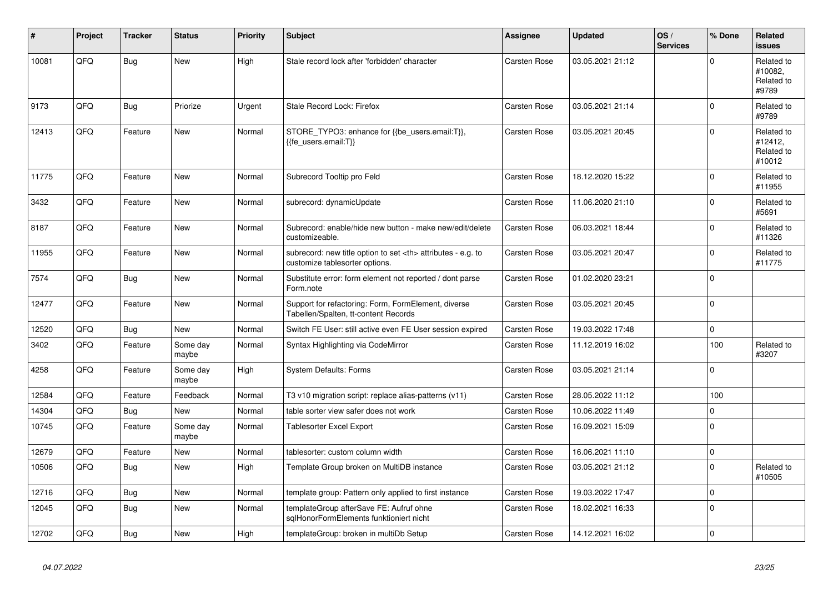| #     | Project | <b>Tracker</b> | <b>Status</b>     | <b>Priority</b> | <b>Subject</b>                                                                                       | Assignee                                               | <b>Updated</b>   | OS/<br><b>Services</b> | % Done      | Related<br><b>issues</b>                      |                      |
|-------|---------|----------------|-------------------|-----------------|------------------------------------------------------------------------------------------------------|--------------------------------------------------------|------------------|------------------------|-------------|-----------------------------------------------|----------------------|
| 10081 | QFQ     | Bug            | <b>New</b>        | High            | Stale record lock after 'forbidden' character                                                        | Carsten Rose                                           | 03.05.2021 21:12 |                        | $\Omega$    | Related to<br>#10082,<br>Related to<br>#9789  |                      |
| 9173  | QFQ     | Bug            | Priorize          | Urgent          | Stale Record Lock: Firefox                                                                           | Carsten Rose                                           | 03.05.2021 21:14 |                        | $\Omega$    | Related to<br>#9789                           |                      |
| 12413 | QFQ     | Feature        | New               | Normal          | STORE_TYPO3: enhance for {{be_users.email:T}},<br>{{fe users.email:T}}                               | Carsten Rose                                           | 03.05.2021 20:45 |                        | $\Omega$    | Related to<br>#12412,<br>Related to<br>#10012 |                      |
| 11775 | QFQ     | Feature        | <b>New</b>        | Normal          | Subrecord Tooltip pro Feld                                                                           | Carsten Rose                                           | 18.12.2020 15:22 |                        | $\Omega$    | Related to<br>#11955                          |                      |
| 3432  | QFQ     | Feature        | New               | Normal          | subrecord: dynamicUpdate                                                                             | Carsten Rose                                           | 11.06.2020 21:10 |                        | $\mathbf 0$ | Related to<br>#5691                           |                      |
| 8187  | QFQ     | Feature        | New               | Normal          | Subrecord: enable/hide new button - make new/edit/delete<br>customizeable.                           | Carsten Rose                                           | 06.03.2021 18:44 |                        | $\Omega$    | Related to<br>#11326                          |                      |
| 11955 | QFQ     | Feature        | <b>New</b>        | Normal          | subrecord: new title option to set <th> attributes - e.g. to<br/>customize tablesorter options.</th> | attributes - e.g. to<br>customize tablesorter options. | Carsten Rose     | 03.05.2021 20:47       |             | $\mathbf 0$                                   | Related to<br>#11775 |
| 7574  | QFQ     | <b>Bug</b>     | New               | Normal          | Substitute error: form element not reported / dont parse<br>Form.note                                | Carsten Rose                                           | 01.02.2020 23:21 |                        | $\mathbf 0$ |                                               |                      |
| 12477 | QFQ     | Feature        | New               | Normal          | Support for refactoring: Form, FormElement, diverse<br>Tabellen/Spalten, tt-content Records          | Carsten Rose                                           | 03.05.2021 20:45 |                        | $\Omega$    |                                               |                      |
| 12520 | QFQ     | Bug            | <b>New</b>        | Normal          | Switch FE User: still active even FE User session expired                                            | Carsten Rose                                           | 19.03.2022 17:48 |                        | $\mathbf 0$ |                                               |                      |
| 3402  | QFQ     | Feature        | Some day<br>maybe | Normal          | Syntax Highlighting via CodeMirror                                                                   | Carsten Rose                                           | 11.12.2019 16:02 |                        | 100         | Related to<br>#3207                           |                      |
| 4258  | QFQ     | Feature        | Some day<br>maybe | High            | <b>System Defaults: Forms</b>                                                                        | Carsten Rose                                           | 03.05.2021 21:14 |                        | $\mathbf 0$ |                                               |                      |
| 12584 | QFQ     | Feature        | Feedback          | Normal          | T3 v10 migration script: replace alias-patterns (v11)                                                | Carsten Rose                                           | 28.05.2022 11:12 |                        | 100         |                                               |                      |
| 14304 | QFQ     | Bug            | <b>New</b>        | Normal          | table sorter view safer does not work                                                                | Carsten Rose                                           | 10.06.2022 11:49 |                        | $\mathbf 0$ |                                               |                      |
| 10745 | QFQ     | Feature        | Some day<br>maybe | Normal          | Tablesorter Excel Export                                                                             | Carsten Rose                                           | 16.09.2021 15:09 |                        | $\Omega$    |                                               |                      |
| 12679 | QFQ     | Feature        | New               | Normal          | tablesorter: custom column width                                                                     | Carsten Rose                                           | 16.06.2021 11:10 |                        | $\pmb{0}$   |                                               |                      |
| 10506 | QFQ     | <b>Bug</b>     | <b>New</b>        | High            | Template Group broken on MultiDB instance                                                            | Carsten Rose                                           | 03.05.2021 21:12 |                        | $\Omega$    | Related to<br>#10505                          |                      |
| 12716 | QFQ     | Bug            | New               | Normal          | template group: Pattern only applied to first instance                                               | Carsten Rose                                           | 19.03.2022 17:47 |                        | $\mathbf 0$ |                                               |                      |
| 12045 | QFQ     | <b>Bug</b>     | New               | Normal          | templateGroup afterSave FE: Aufruf ohne<br>sglHonorFormElements funktioniert nicht                   | Carsten Rose                                           | 18.02.2021 16:33 |                        | $\mathbf 0$ |                                               |                      |
| 12702 | QFQ     | Bug            | New               | High            | templateGroup: broken in multiDb Setup                                                               | Carsten Rose                                           | 14.12.2021 16:02 |                        | $\mathbf 0$ |                                               |                      |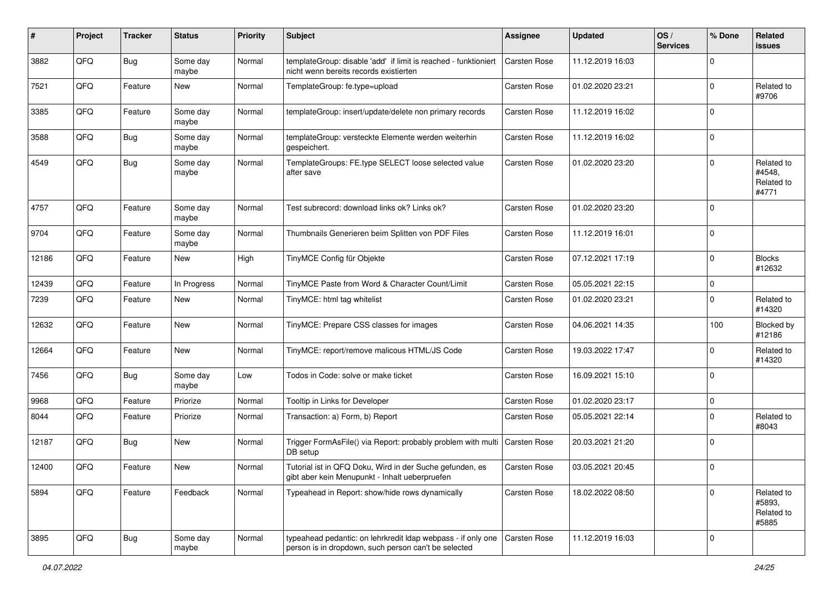| ∦     | Project | <b>Tracker</b> | <b>Status</b>     | <b>Priority</b> | <b>Subject</b>                                                                                                       | Assignee            | <b>Updated</b>   | OS/<br><b>Services</b> | % Done      | Related<br><b>issues</b>                    |
|-------|---------|----------------|-------------------|-----------------|----------------------------------------------------------------------------------------------------------------------|---------------------|------------------|------------------------|-------------|---------------------------------------------|
| 3882  | QFQ     | Bug            | Some day<br>maybe | Normal          | templateGroup: disable 'add' if limit is reached - funktioniert<br>nicht wenn bereits records existierten            | <b>Carsten Rose</b> | 11.12.2019 16:03 |                        | $\Omega$    |                                             |
| 7521  | QFQ     | Feature        | New               | Normal          | TemplateGroup: fe.type=upload                                                                                        | Carsten Rose        | 01.02.2020 23:21 |                        | $\Omega$    | Related to<br>#9706                         |
| 3385  | QFQ     | Feature        | Some day<br>maybe | Normal          | templateGroup: insert/update/delete non primary records                                                              | <b>Carsten Rose</b> | 11.12.2019 16:02 |                        | $\Omega$    |                                             |
| 3588  | QFQ     | Bug            | Some day<br>maybe | Normal          | templateGroup: versteckte Elemente werden weiterhin<br>gespeichert.                                                  | Carsten Rose        | 11.12.2019 16:02 |                        | $\Omega$    |                                             |
| 4549  | QFQ     | Bug            | Some day<br>maybe | Normal          | TemplateGroups: FE.type SELECT loose selected value<br>after save                                                    | Carsten Rose        | 01.02.2020 23:20 |                        | $\Omega$    | Related to<br>#4548,<br>Related to<br>#4771 |
| 4757  | QFQ     | Feature        | Some day<br>maybe | Normal          | Test subrecord: download links ok? Links ok?                                                                         | <b>Carsten Rose</b> | 01.02.2020 23:20 |                        | $\Omega$    |                                             |
| 9704  | QFQ     | Feature        | Some day<br>maybe | Normal          | Thumbnails Generieren beim Splitten von PDF Files                                                                    | <b>Carsten Rose</b> | 11.12.2019 16:01 |                        | $\Omega$    |                                             |
| 12186 | QFQ     | Feature        | New               | High            | TinyMCE Config für Objekte                                                                                           | Carsten Rose        | 07.12.2021 17:19 |                        | $\Omega$    | <b>Blocks</b><br>#12632                     |
| 12439 | QFQ     | Feature        | In Progress       | Normal          | TinyMCE Paste from Word & Character Count/Limit                                                                      | Carsten Rose        | 05.05.2021 22:15 |                        | $\Omega$    |                                             |
| 7239  | QFQ     | Feature        | New               | Normal          | TinyMCE: html tag whitelist                                                                                          | <b>Carsten Rose</b> | 01.02.2020 23:21 |                        | $\Omega$    | Related to<br>#14320                        |
| 12632 | QFQ     | Feature        | New               | Normal          | TinyMCE: Prepare CSS classes for images                                                                              | Carsten Rose        | 04.06.2021 14:35 |                        | 100         | <b>Blocked by</b><br>#12186                 |
| 12664 | QFQ     | Feature        | New               | Normal          | TinyMCE: report/remove malicous HTML/JS Code                                                                         | <b>Carsten Rose</b> | 19.03.2022 17:47 |                        | $\Omega$    | Related to<br>#14320                        |
| 7456  | QFQ     | Bug            | Some day<br>maybe | Low             | Todos in Code: solve or make ticket                                                                                  | <b>Carsten Rose</b> | 16.09.2021 15:10 |                        | $\Omega$    |                                             |
| 9968  | QFQ     | Feature        | Priorize          | Normal          | Tooltip in Links for Developer                                                                                       | Carsten Rose        | 01.02.2020 23:17 |                        | $\mathbf 0$ |                                             |
| 8044  | QFQ     | Feature        | Priorize          | Normal          | Transaction: a) Form, b) Report                                                                                      | Carsten Rose        | 05.05.2021 22:14 |                        | $\Omega$    | Related to<br>#8043                         |
| 12187 | QFQ     | Bug            | New               | Normal          | Trigger FormAsFile() via Report: probably problem with multi   Carsten Rose<br>DB setup                              |                     | 20.03.2021 21:20 |                        | 0           |                                             |
| 12400 | QFQ     | Feature        | <b>New</b>        | Normal          | Tutorial ist in QFQ Doku, Wird in der Suche gefunden, es<br>gibt aber kein Menupunkt - Inhalt ueberpruefen           | Carsten Rose        | 03.05.2021 20:45 |                        | 0           |                                             |
| 5894  | QFQ     | Feature        | Feedback          | Normal          | Typeahead in Report: show/hide rows dynamically                                                                      | Carsten Rose        | 18.02.2022 08:50 |                        | $\Omega$    | Related to<br>#5893,<br>Related to<br>#5885 |
| 3895  | QFQ     | Bug            | Some day<br>maybe | Normal          | typeahead pedantic: on lehrkredit Idap webpass - if only one<br>person is in dropdown, such person can't be selected | Carsten Rose        | 11.12.2019 16:03 |                        | 0           |                                             |